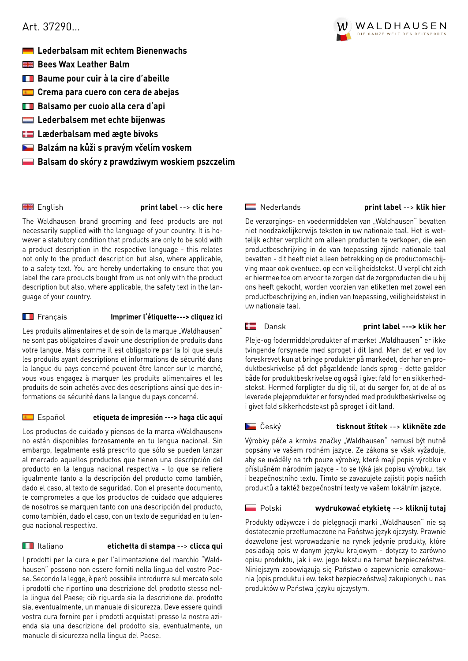# <span id="page-0-0"></span>Art. 37290…

- **Lederbalsam mit echtem Bienenwachs**
- **Bees Wax Leather Balm**
- **Baume pour cuir à la cire d'abeille**
- **Crema para cuero con cera de abejas**
- **Balsamo per cuoio alla cera d'api**
- **Lederbalsem met echte bijenwas**
- **Læderbalsam med ægte bivoks**
- **Balzám na kůži s pravým včelím voskem**
- **Balsam do skóry z prawdziwym woskiem pszczelim**

English **[print label](#page-1-0)** --> **clic here**

The Waldhausen brand grooming and feed products are not necessarily supplied with the language of your country. It is however a statutory condition that products are only to be sold with a product description in the respective language - this relates not only to the product description but also, where applicable, to a safety text. You are hereby undertaking to ensure that you label the care products bought from us not only with the product description but also, where applicable, the safety text in the language of your country.

# Français **[Imprimer l'étiquette---> cliquez ici](#page-2-0)**

Les produits alimentaires et de soin de la marque "Waldhausen" ne sont pas obligatoires d'avoir une description de produits dans votre langue. Mais comme il est obligatoire par la loi que seuls les produits ayant descriptions et informations de sécurité dans la langue du pays concerné peuvent être lancer sur le marché, vous vous engagez à marquer les produits alimentaires et les produits de soin achetés avec des descriptions ainsi que des informations de sécurité dans la langue du pays concerné.

# Español **[etiqueta de impresión ---> haga clic aquí](#page-3-0)**

Los productos de cuidado y piensos de la marca «Waldhausen» no están disponibles forzosamente en tu lengua nacional. Sin embargo, legalmente está prescrito que sólo se pueden lanzar al mercado aquellos productos que tienen una descripción del producto en la lengua nacional respectiva - lo que se refiere igualmente tanto a la descripción del producto como también, dado el caso, al texto de seguridad. Con el presente documento, te comprometes a que los productos de cuidado que adquieres de nosotros se marquen tanto con una descripción del producto, como también, dado el caso, con un texto de seguridad en tu lengua nacional respectiva.

# Italiano **[etichetta di stampa](#page-4-0)** --> **clicca qui**

I prodotti per la cura e per l'alimentazione del marchio "Waldhausen" possono non essere forniti nella lingua del vostro Paese. Secondo la legge, è però possibile introdurre sul mercato solo i prodotti che riportino una descrizione del prodotto stesso nella lingua del Paese; ciò riguarda sia la descrizione del prodotto sia, eventualmente, un manuale di sicurezza. Deve essere quindi vostra cura fornire per i prodotti acquistati presso la nostra azienda sia una descrizione del prodotto sia, eventualmente, un manuale di sicurezza nella lingua del Paese.

# [Nederlands](#page-5-0) **print label** --> **klik hier**

De verzorgings- en voedermiddelen van "Waldhausen" bevatten niet noodzakelijkerwijs teksten in uw nationale taal. Het is wettelijk echter verplicht om alleen producten te verkopen, die een productbeschrijving in de van toepassing zijnde nationale taal bevatten - dit heeft niet alleen betrekking op de productomschijving maar ook eventueel op een veiligheidstekst. U verplicht zich er hiermee toe om ervoor te zorgen dat de zorgproducten die u bij ons heeft gekocht, worden voorzien van etiketten met zowel een productbeschrijving en, indien van toepassing, veiligheidstekst in uw nationale taal.

# Dansk **[print label ---> klik her](#page-6-0)**

Pleje-og fodermiddelprodukter af mærket "Waldhausen" er ikke tvingende forsynede med sproget i dit land. Men det er ved lov foreskrevet kun at bringe produkter på markedet, der har en produktbeskrivelse på det pågældende lands sprog - dette gælder både for produktbeskrivelse og også i givet fald for en sikkerhedstekst. Hermed forpligter du dig til, at du sørger for, at de af os leverede plejeprodukter er forsynded med produktbeskrivelse og i givet fald sikkerhedstekst på sproget i dit land.

# Český **[tisknout štítek](#page-7-0)** --> **klikněte zde**

Výrobky péče a krmiva značky "Waldhausen" nemusí být nutně popsány ve vašem rodném jazyce. Ze zákona se však vyžaduje, aby se uváděly na trh pouze výrobky, které mají popis výrobku v příslušném národním jazyce - to se týká jak popisu výrobku, tak i bezpečnostního textu. Tímto se zavazujete zajistit popis našich produktů a taktéž bezpečnostní texty ve vašem lokálním jazyce.

# Polski **[wydrukować etykietę](#page-8-0)** --> **kliknij tutaj**

Produkty odżywcze i do pielęgnacji marki "Waldhausen" nie są dostatecznie przetłumaczone na Państwa język ojczysty. Prawnie dozwolone jest wprowadzanie na rynek jedynie produkty, które posiadają opis w danym języku krajowym - dotyczy to zarówno opisu produktu, jak i ew. jego tekstu na temat bezpieczeństwa. Niniejszym zobowiązują się Państwo o zapewnienie oznakowania (opis produktu i ew. tekst bezpieczeństwa) zakupionych u nas produktów w Państwa języku ojczystym.

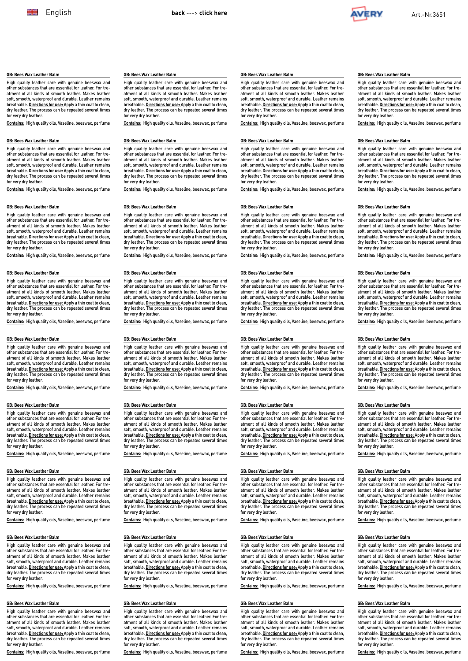High quality leather care with genuine beeswax and substances that are essential for leather. For treatment of all kinds of smooth leather. Makes leather soft, smooth, waterproof and durable. Leather remains breathable. **Directions for use:** Apply a thin coat to clean, dry leather. The process can be repeated several times

**Contains:** High quality oils, Vaseline, beeswax, perfume

High quality leather care with genuine beeswax and other substances that are essential for leather. For treatment of all kinds of smooth leather. Makes leather soft, smooth, waterproof and durable. Leather remains breathable. **Directions for use:** Apply a thin coat to clean, dry leather. The process can be repeated several times

**Contains:** High quality oils, Vaseline, beeswax, perfume

High quality leather care with genuine beeswax and other substances that are essential for leather. For treatment of all kinds of smooth leather. Makes leather soft, smooth, waterproof and durable. Leather remains breathable. **Directions for use:** Apply a thin coat to clean, dry leather. The process can be repeated several times

**Contains:** High quality oils, Vaseline, beeswax, perfume

High quality leather care with genuine beeswax and other substances that are essential for leather. For treatment of all kinds of smooth leather. Makes leather soft, smooth, waterproof and durable. Leather remains breathable. **Directions for use:** Apply a thin coat to clean, dry leather. The process can be repeated several times

**Contains:** High quality oils, Vaseline, beeswax, perfume

High quality leather care with genuine beeswax and other substances that are essential for leather. For treatment of all kinds of smooth leather. Makes leather soft, smooth, waterproof and durable. Leather remains breathable. **Directions for use:** Apply a thin coat to clean, dry leather. The process can be repeated several times

**Contains:** High quality oils, Vaseline, beeswax, perfume

High quality leather care with genuine beeswax and other substances that are essential for leather. For treatment of all kinds of smooth leather. Makes leather soft, smooth, waterproof and durable. Leather remains breathable. **Directions for use:** Apply a thin coat to clean, dry leather. The process can be repeated several times

**Contains:** High quality oils, Vaseline, beeswax, perfume

<span id="page-1-0"></span>**GB: Bees Wax Leather Balm**

for very dry leather.

for very dry leather.

for very dry leather.

for very dry leather.

for very dry leather.

for very dry leather.

**GB: Bees Wax Leather Balm**

**GB: Bees Wax Leather Balm**

**GB: Bees Wax Leather Balm**

**GB: Bees Wax Leather Balm**

**GB: Bees Wax Leather Balm**

**GB: Bees Wax Leather Balm**



### **GB: Bees Wax Leather Balm**

High quality leather care with genuine beeswax and<br>other substances that are essential for leather For treother substances that are essential for leather. For treatment of all kinds of smooth leather. Makes leather soft, smooth, waterproof and durable. Leather remains breathable. **Directions for use:** Apply a thin coat to clean, dry leather. The process can be repeated several times for very dry leather.

**Contains:** High quality oils, Vaseline, beeswax, perfume

### **GB: Bees Wax Leather Balm**

High quality leather care with genuine beeswax and other substances that are essential for leather. For treatment of all kinds of smooth leather. Makes leather soft, smooth, waterproof and durable. Leather remains breathable. **Directions for use:** Apply a thin coat to clean, dry leather. The process can be repeated several times for very dry leather.

**Contains:** High quality oils, Vaseline, beeswax, perfume

#### **GB: Bees Wax Leather Balm**

High quality leather care with genuine beeswax and ces that are essential for leather. For treatment of all kinds of smooth leather. Makes leather soft, smooth, waterproof and durable. Leather remains breathable. **Directions for use:** Apply a thin coat to clean, dry leather. The process can be repeated several times for very dry leather.

**Contains:** High quality oils, Vaseline, beeswax, perfume

### **GB: Bees Wax Leather Balm**

High quality leather care with genuine beeswax and<br>other substances that are essential for leather. For trences that are essential for leather. For treatment of all kinds of smooth leather. Makes leather soft, smooth, waterproof and durable. Leather remains breathable. **Directions for use:** Apply a thin coat to clean, dry leather. The process can be repeated several times for very dry leather.

**Contains:** High quality oils, Vaseline, beeswax, perfume

## **GB: Bees Wax Leather Balm**

High quality leather care with genuine beeswax and other substances that are essential for leather. For treatment of all kinds of smooth leather. Makes leather soft, smooth, waterproof and durable. Leather remains breathable. **Directions for use:** Apply a thin coat to clean, dry leather. The process can be repeated several times for very dry leather.

**Contains:** High quality oils, Vaseline, beeswax, perfume

### **GB: Bees Wax Leather Balm**

High quality leather care with genuine beeswax and other substances that are essential for leather. For tre-atment of all kinds of smooth leather. Makes leather soft, smooth, waterproof and durable. Leather remains breathable. **Directions for use:** Apply a thin coat to clean, dry leather. The process can be repeated several times for very dry leather.

**Contains:** High quality oils, Vaseline, beeswax, perfume

### **GB: Bees Wax Leather Balm**

High quality leather care with genuine beeswax and other substances that are essential for leather. For treatment of all kinds of smooth leather. Makes leather soft, smooth, waterproof and durable. Leather remains breathable. **Directions for use:** Apply a thin coat to clean, dry leather. The process can be repeated several times for very dry leather.

**Contains:** High quality oils, Vaseline, beeswax, perfume

## **GB: Bees Wax Leather Balm**

High quality leather care with genuine beeswax and other substances that are essential for leather. For treatment of all kinds of smooth leather. Makes leather soft, smooth, waterproof and durable. Leather remains breathable. **Directions for use:** Apply a thin coat to clean, dry leather. The process can be repeated several times for very dry leather.

**Contains:** High quality oils, Vaseline, beeswax, perfume

## **GB: Bees Wax Leather Balm**

High quality leather care with genuine beeswax and other substances that are essential for leather. For treatment of all kinds of smooth leather. Makes leather soft, smooth, waterproof and durable. Leather remains breathable. **Directions for use:** Apply a thin coat to clean, dry leather. The process can be repeated several times for very dry leather.

**Contains:** High quality oils, Vaseline, beeswax, perfume

### **GB: Bees Wax Leather Balm**

High quality leather care with genuine beeswax and<br>other substances that are essential for leather For treother substances that are essential for leather. For treatment of all kinds of smooth leather. Makes leather soft, smooth, waterproof and durable. Leather remains breathable. **Directions for use:** Apply a thin coat to clean, dry leather. The process can be repeated several times for very dry leather.

**Contains:** High quality oils, Vaseline, beeswax, perfume

### **GB: Bees Wax Leather Balm**

High quality leather care with genuine beeswax and other substances that are essential for leather. For treatment of all kinds of smooth leather. Makes leather soft, smooth, waterproof and durable. Leather remains breathable. **Directions for use:** Apply a thin coat to clean, dry leather. The process can be repeated several times for very dry leather.

**Contains:** High quality oils, Vaseline, beeswax, perfume

#### **GB: Bees Wax Leather Balm**

High quality leather care with genuine beeswax and ces that are essential for leather. For treatment of all kinds of smooth leather. Makes leather soft, smooth, waterproof and durable. Leather remains breathable. **Directions for use:** Apply a thin coat to clean, dry leather. The process can be repeated several times for very dry leather.

**Contains:** High quality oils, Vaseline, beeswax, perfume

### **GB: Bees Wax Leather Balm**

High quality leather care with genuine beeswax and<br>other substances that are essential for leather For trences that are essential for leather. For treatment of all kinds of smooth leather. Makes leather soft, smooth, waterproof and durable. Leather remains breathable. **Directions for use:** Apply a thin coat to clean, dry leather. The process can be repeated several times for very dry leather.

**Contains:** High quality oils, Vaseline, beeswax, perfume

## **GB: Bees Wax Leather Balm**

High quality leather care with genuine beeswax and other substances that are essential for leather. For treatment of all kinds of smooth leather. Makes leather soft, smooth, waterproof and durable. Leather remains breathable. **Directions for use:** Apply a thin coat to clean, dry leather. The process can be repeated several times for very dry leather.

**Contains:** High quality oils, Vaseline, beeswax, perfume

#### **GB: Bees Wax Leather Balm**

High quality leather care with genuine beeswax and other substances that are essential for leather. For tre-atment of all kinds of smooth leather. Makes leather soft, smooth, waterproof and durable. Leather remains breathable. **Directions for use:** Apply a thin coat to clean, dry leather. The process can be repeated several times for very dry leather.

**Contains:** High quality oils, Vaseline, beeswax, perfume

### **GB: Bees Wax Leather Balm**

High quality leather care with genuine beeswax and nces that are essential for leather. For treatment of all kinds of smooth leather. Makes leather soft, smooth, waterproof and durable. Leather remains breathable. **Directions for use:** Apply a thin coat to clean, dry leather. The process can be repeated several times for very dry leather.

**Contains:** High quality oils, Vaseline, beeswax, perfume

High quality leather care with genuine beeswax and other substances that are essential for leather. For treatment of all kinds of smooth leather. Makes leather soft, smooth, waterproof and durable. Leather remains breathable. **Directions for use:** Apply a thin coat to clean, dry leather. The process can be repeated several times for very dry leather.

High quality leather care with genuine beeswax and other substances that are essential for leather. For treatment of all kinds of smooth leather. Makes leather soft, smooth, waterproof and durable. Leather remains breathable. **Directions for use:** Apply a thin coat to clean, dry leather. The process can be repeated several times for very dry leather.

High quality leather care with genuine beeswax and other substances that are essential for leather. For treatment of all kinds of smooth leather. Makes leather soft, smooth, waterproof and durable. Leather remains breathable. **Directions for use:** Apply a thin coat to clean, dry leather. The process can be repeated several times for very dry leather.

**Contains:** High quality oils, Vaseline, beeswax, perfume

### **GB: Bees Wax Leather Balm**

High quality leather care with genuine beeswax and other substances that are essential for leather. For treatment of all kinds of smooth leather. Makes leather soft, smooth, waterproof and durable. Leather remains breathable. **Directions for use:** Apply a thin coat to clean, dry leather. The process can be repeated several times for very dry leather.

**Contains:** High quality oils, Vaseline, beeswax, perfume

#### **GB: Bees Wax Leather Balm**

High quality leather care with genuine beeswax and other substances that are essential for leather. For treatment of all kinds of smooth leather. Makes leather soft, smooth, waterproof and durable. Leather remains breathable. **Directions for use:** Apply a thin coat to clean, dry leather. The process can be repeated several times for very dry leather.

**Contains:** High quality oils, Vaseline, beeswax, perfume

## **GB: Bees Wax Leather Balm**

**Contains:** High quality oils, Vaseline, beeswax, perfume

## **GB: Bees Wax Leather Balm**

**Contains:** High quality oils, Vaseline, beeswax, perfume

High quality leather care with genuine beeswax and other substances that are essential for leather. For treatment of all kinds of smooth leather. Makes leather

**GB: Bees Wax Leather Balm**

for very dry leather.

**GB: Bees Wax Leather Balm**

for very dry leather.

for very dry leather.

for very dry leather.

for very dry leather.

**GB: Bees Wax Leather Balm**

**GB: Bees Wax Leather Balm**

**GB: Bees Wax Leather Balm**

**GB: Bees Wax Leather Balm**

High quality leather care with genuine beeswax and substances that are essential for leather. For treatment of all kinds of smooth leather. Makes leather soft, smooth, waterproof and durable. Leather remains breathable. **Directions for use:** Apply a thin coat to clean, dry leather. The process can be repeated several times

**Contains:** High quality oils, Vaseline, beeswax, perfume

High quality leather care with genuine beeswax and other substances that are essential for leather. For treatment of all kinds of smooth leather. Makes leather soft, smooth, waterproof and durable. Leather remains breathable. **Directions for use:** Apply a thin coat to clean, dry leather. The process can be repeated several times

**Contains:** High quality oils, Vaseline, beeswax, perfume

High quality leather care with genuine beeswax and other substances that are essential for leather. For treatment of all kinds of smooth leather. Makes leather soft, smooth, waterproof and durable. Leather remains breathable. **Directions for use:** Apply a thin coat to clean, dry leather. The process can be repeated several times

**Contains:** High quality oils, Vaseline, beeswax, perfume

High quality leather care with genuine beeswax and other substances that are essential for leather. For treatment of all kinds of smooth leather. Makes leather soft, smooth, waterproof and durable. Leather remains breathable. **Directions for use:** Apply a thin coat to clean, dry leather. The process can be repeated several times

**Contains:** High quality oils, Vaseline, beeswax, perfume

High quality leather care with genuine beeswax and other substances that are essential for leather. For treatment of all kinds of smooth leather. Makes leather soft, smooth, waterproof and durable. Leather remains breathable. **Directions for use:** Apply a thin coat to clean, dry leather. The process can be repeated several times

**Contains:** High quality oils, Vaseline, beeswax, perfume

soft, smooth, waterproof and durable. Leather remains breathable. **Directions for use:** Apply a thin coat to clean, dry leather. The process can be repeated several times for very dry leather.

**Contains:** High quality oils, Vaseline, beeswax, perfume

### **GB: Bees Wax Leather Balm**

High quality leather care with genuine beeswax and other substances that are essential for leather. For treatment of all kinds of smooth leather. Makes leather soft, smooth, waterproof and durable. Leather remains breathable. **Directions for use:** Apply a thin coat to clean, dry leather. The process can be repeated several times for very dry leather.

**Contains:** High quality oils, Vaseline, beeswax, perfume

### **GB: Bees Wax Leather Balm**

High quality leather care with genuine beeswax and other substances that are essential for leather. For treatment of all kinds of smooth leather. Makes leather soft, smooth, waterproof and durable. Leather remains breathable. **Directions for use:** Apply a thin coat to clean, dry leather. The process can be repeated several times for very dry leather.

**Contains:** High quality oils, Vaseline, beeswax, perfume

### **GB: Bees Wax Leather Balm**

High quality leather care with genuine beeswax and other substances that are essential for leather. For treatment of all kinds of smooth leather. Makes leather soft, smooth, waterproof and durable. Leather remains breathable. **Directions for use:** Apply a thin coat to clean, dry leather. The process can be repeated several times

for very dry leather.

**Contains:** High quality oils, Vaseline, beeswax, perfume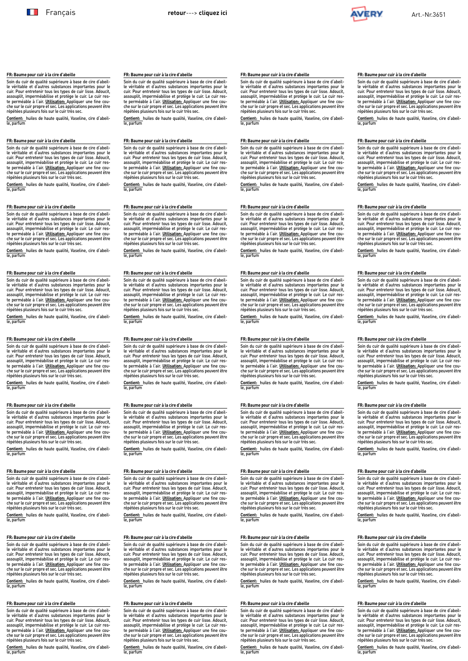

## **FR: Baume pour cuir à la cire d'abeille**

Soin du cuir de qualité supérieure à base de cire d'abeil-le véritable et d'autres substances importantes pour le cuir. Pour entretenir tous les types de cuir lisse. Adoucit, assouplit, imperméabilise et protège le cuir. Le cuir res-te perméable à l'air. **Utilisation:** Appliquer une fine couche sur le cuir propre et sec. Les applications peuvent être répétées plusieurs fois sur le cuir très sec.

**Contient:** huiles de haute qualité, Vaseline, cire d'abeil-le, parfum

## **FR: Baume pour cuir à la cire d'abeille**

Soin du cuir de qualité supérieure à base de cire d'abeille véritable et d'autres substances importantes pour le<br>cuir. Pour entretenir tous les types de cuir lisse. Adoucit,<br>assouplit, imperméabilise et protège le cuir. Le cuir res-<br>te perméable à l'air. <u>Utilisation:</u> Appliquer che sur le cuir propre et sec. Les applications peuvent être répétées plusieurs fois sur le cuir très sec.

**Contient:** huiles de haute qualité, Vaseline, cire d'abeille, parfum

### **FR: Baume pour cuir à la cire d'abeille**

Soin du cuir de qualité supérieure à base de cire d'abeille véritable et d'autres substances importantes pour le<br>cuir. Pour entretenir tous les types de cuir lisse. Adoucit,<br>assouplit, imperméabilise et protège le cuir. Le cuir res-<br>te perméable à l'air. <u>Utilisation: A</u>pplicati répétées plusieurs fois sur le cuir très sec.

**Contient:** huiles de haute qualité, Vaseline, cire d'abeille, parfum

### **FR: Baume pour cuir à la cire d'abeille**

Soin du cuir de qualité supérieure à base de cire d'abeil-le véritable et d'autres substances importantes pour le cuir. Pour entretenir tous les types de cuir lisse. Adoucit, assouplit, imperméabilise et protège le cuir. Le cuir res-te perméable à l'air. **Utilisation:** Appliquer une fine cou-che sur le cuir propre et sec. Les applications peuvent être répétées plusieurs fois sur le cuir très sec.

**Contient:** huiles de haute qualité, Vaseline, cire d'abeil-le, parfum

## **FR: Baume pour cuir à la cire d'abeille**

Soin du cuir de qualité supérieure à base de cire d'abeil-le véritable et d'autres substances importantes pour le cuir. Pour entretenir tous les types de cuir lisse. Adoucit, assouplit, imperméabilise et protège le cuir. Le cuir res-te perméable à l'air. **Utilisation:** Appliquer une fine couche sur le cuir propre et sec. Les applications peuvent être répétées plusieurs fois sur le cuir très sec.

**Contient:** huiles de haute qualité, Vaseline, cire d'abeille, parfum

## **FR: Baume pour cuir à la cire d'abeille**

Soin du cuir de qualité supérieure à base de cire d'abeille véritable et d'autres substances importantes pour le cuir. Pour entretenir tous les types de cuir lisse. Adoucit, assouplit, imperméabilise et protège le cuir. Le cuir reste perméable à l'air. <u>Utilisation: A</u>ppliquer une fine cou-<br>che sur le cuir propre et sec. Les applications peuvent être<br>répétées plusieurs fois sur le cuir très sec.

**Contient:** huiles de haute qualité, Vaseline, cire d'abeil-le, parfum

### **FR: Baume pour cuir à la cire d'abeille**

Soin du cuir de qualité supérieure à base de cire d'abeil-<br>le véritable et d'autres substances importantes pour le<br>cuir. Pour entretenir tous les types de cuir lisse. Adoucit,<br>assouplit, imperméabilise et protège le cuir. répétées plusieurs fois sur le cuir très sec.

**Contient:** huiles de haute qualité, Vaseline, cire d'abeil-le, parfum

## **FR: Baume pour cuir à la cire d'abeille**

Soin du cuir de qualité supérieure à base de cire d'abeil-le véritable et d'autres substances importantes pour le cuir. Pour entretenir tous les types de cuir lisse. Adoucit, assouplit, imperméabilise et protège le cuir. Le cuir res-te perméable à l'air. **Utilisation:** Appliquer une fine couche sur le cuir propre et sec. Les applications peuvent être répétées plusieurs fois sur le cuir très sec.

**Contient:** huiles de haute qualité, Vaseline, cire d'abeil-le, parfum

## **FR: Baume pour cuir à la cire d'abeille**

Soin du cuir de qualité supérieure à base de cire d'abeille véritable et d'autres substances importantes pour le cuir. Pour entretenir tous les types de cuir lisse. Adoucit, assouplit, imperméabilise et protège le cuir. Le cuir reste perméable à l'air. **Utilisation:** Appliquer une fine couche sur le cuir propre et sec. Les applications peuvent être répétées plusieurs fois sur le cuir très sec.

**Contient:** huiles de haute qualité, Vaseline, cire d'abeille, parfum

#### <span id="page-2-0"></span>**FR: Baume pour cuir à la cire d'abeille FR: Baume pour cuir à la cire d'abeille**

Soin du cuir de qualité supérieure à base de cire d'abeil-le véritable et d'autres substances importantes pour le cuir. Pour entretenir tous les types de cuir lisse. Adoucit, assouplit, imperméabilise et protège le cuir. Le cuir res-te perméable à l'air. **Utilisation:** Appliquer une fine couche sur le cuir propre et sec. Les applications peuvent être répétées plusieurs fois sur le cuir très sec.

**Contient:** huiles de haute qualité, Vaseline, cire d'abeil-le, parfum

## **FR: Baume pour cuir à la cire d'abeille**

Soin du cuir de qualité supérieure à base de cire d'abeil-<br>le véritable et d'autres usbatances importantes pour le<br>cuir. Pour entretenir tous les types de cuir lisse. Adoucit,<br>assouplit, imperméabilise et protège le cuir.

**Contient:** huiles de haute qualité, Vaseline, cire d'abeil-le, parfum

### **FR: Baume pour cuir à la cire d'abeille**

Soin du cuir de qualité supérieure à base de cire d'abeille véritable et d'autres substances importantes pour le cuir. Pour entretenir tous les types de cuir lisse. Adoucit, assouplit, imperméabilise et protège le cuir. Le cuir reste perméable à l'air. **Utilisation:** Appliquer une fine cou-che sur le cuir propre et sec. Les applications peuvent être répétées plusieurs fois sur le cuir très sec.

**Contient:** huiles de haute qualité, Vaseline, cire d'abeil-le, parfum

### **FR: Baume pour cuir à la cire d'abeille**

Soin du cuir de qualité supérieure à base de cire d'abeil-le véritable et d'autres substances importantes pour le cuir. Pour entretenir tous les types de cuir lisse. Adoucit, assouplit, imperméabilise et protège le cuir. Le cuir res-<br>te perméable à l'air. <u>Utilisation: A</u>ppliquer une fine cou-<br>che sur le cuir propre et sec. Les applications peuvent être répétées plusieurs fois sur le cuir très sec.

**Contient:** huiles de haute qualité, Vaseline, cire d'abeil-le, parfum

## **FR: Baume pour cuir à la cire d'abeille**

Soin du cuir de qualité supérieure à base de cire d'abeil-le véritable et d'autres substances importantes pour le cuir. Pour entretenir tous les types de cuir lisse. Adoucit, assouplit, imperméabilise et protège le cuir. Le cuir res-te perméable à l'air. **Utilisation:** Appliquer une fine couche sur le cuir propre et sec. Les applications peuvent être répétées plusieurs fois sur le cuir très sec.

**Contient:** huiles de haute qualité, Vaseline, cire d'abeille, parfum

### **FR: Baume pour cuir à la cire d'abeille**

Soin du cuir de qualité supérieure à base de cire d'abeille véritable et d'autres substances importantes pour le cuir. Pour entretenir tous les types de cuir lisse. Adoucit, assouplit, imperméabilise et protège le cuir. Le cuir reste perméable à l'air. **Utilisation:** Appliquer une fine cou-che sur le cuir propre et sec. Les applications peuvent être répétées plusieurs fois sur le cuir très sec.

**Contient:** huiles de haute qualité, Vaseline, cire d'abeil-le, parfum

#### **FR: Baume pour cuir à la cire d'abeille**

Soin du cuir de qualité supérieure à base de cire d'abeil-le véritable et d'autres substances importantes pour le cuir. Pour entretenir tous les types de cuir lisse. Adoucit, assouplit, imperméabilise et protège le cuir. Le cuir res-<br>te perméable à l'air. <u>Utilisation: A</u>ppliquer une fine cou-<br>che sur le cuir propre et sec. Les applications peuvent être répétées plusieurs fois sur le cuir très sec.

**Contient:** huiles de haute qualité, Vaseline, cire d'abeil-le, parfum

### **FR: Baume pour cuir à la cire d'abeille**

Soin du cuir de qualité supérieure à base de cire d'abeil-le véritable et d'autres substances importantes pour le cuir. Pour entretenir tous les types de cuir lisse. Adoucit, assouplit, imperméabilise et protège le cuir. Le cuir res-te perméable à l'air. **Utilisation:** Appliquer une fine couche sur le cuir propre et sec. Les applications peuvent être répétées plusieurs fois sur le cuir très sec.

**Contient:** huiles de haute qualité, Vaseline, cire d'abeil-le, parfum

## **FR: Baume pour cuir à la cire d'abeille**

Soin du cuir de qualité supérieure à base de cire d'abeille véritable et d'autres substances importantes pour le cuir. Pour entretenir tous les types de cuir lisse. Adoucit, assouplit, imperméabilise et protège le cuir. Le cuir reste perméable à l'air. **Utilisation:** Appliquer une fine couche sur le cuir propre et sec. Les applications peuvent être répétées plusieurs fois sur le cuir très sec.

**Contient:** huiles de haute qualité, Vaseline, cire d'abeille, parfum

che sur le cuir propre et sec. Les applications peuvent être répétées plusieurs fois sur le cuir très sec.

**Contient:** huiles de haute qualité, Vaseline, cire d'abeil-le, parfum

Soin du cuir de qualité supérieure à base de cire d'abeil-le véritable et d'autres substances importantes pour le cuir. Pour entretenir tous les types de cuir lisse. Adoucit, assouplit, imperméabilise et protège le cuir. Le cuir res-te perméable à l'air. **Utilisation:** Appliquer une fine cou-

## **FR: Baume pour cuir à la cire d'abeille**

Soin du cuir de qualité supérieure à base de cire d'abeille véritable et d'autres substances importantes pour le<br>cuir. Pour entretenir tous les types de cuir lisse. Adoucit,<br>assouplit, imperméabilise et protège le cuir. Le cuir res-<br>te perméable à l'air. Utilisation: Appliquer u che sur le cuir propre et sec. Les applications peuvent être répétées plusieurs fois sur le cuir très sec.

**Contient:** huiles de haute qualité, Vaseline, cire d'abeille, parfum

### **FR: Baume pour cuir à la cire d'abeille**

Soin du cuir de qualité supérieure à base de cire d'abeille véritable et d'autres substances importantes pour le cuir. Pour entretenir tous les types de cuir lisse. Adoucit,<br>assouplit, imperméabilise et protège le cuir. Le cuir res-<br>te perméable à l'air. <u>Utilisation:</u> Appliquer une fine cou-<br>che sur le cuir propre et sec. Les applic répétées plusieurs fois sur le cuir très sec.

**Contient:** huiles de haute qualité, Vaseline, cire d'abeille, parfum

## **FR: Baume pour cuir à la cire d'abeille**

Soin du cuir de qualité supérieure à base de cire d'abeil-le véritable et d'autres substances importantes pour le cuir. Pour entretenir tous les types de cuir lisse. Adoucit, assouplit, imperméabilise et protège le cuir. Le cuir res-<br>te perméable à l'air. <u>Utilisation: A</u>ppliquer une fine cou-<br>che sur le cuir propre et sec. Les applications peuvent être répétées plusieurs fois sur le cuir très sec.

**Contient:** huiles de haute qualité, Vaseline, cire d'abeil-le, parfum

## **FR: Baume pour cuir à la cire d'abeille**

Soin du cuir de qualité supérieure à base de cire d'abeil-le véritable et d'autres substances importantes pour le cuir. Pour entretenir tous les types de cuir lisse. Adoucit, assouplit, imperméabilise et protège le cuir. Le cuir res-te perméable à l'air. **Utilisation:** Appliquer une fine couche sur le cuir propre et sec. Les applications peuvent être répétées plusieurs fois sur le cuir très sec.

**Contient:** huiles de haute qualité, Vaseline, cire d'abeille, parfum

### **FR: Baume pour cuir à la cire d'abeille**

Soin du cuir de qualité supérieure à base de cire d'abeille véritable et d'autres substances importantes pour le<br>cuir. Pour entretenir tous les types de cuir lisse. Adoucit,<br>assouplit, imperméabilise et protège le cuir. Le cuir res-<br>te perméable à l'air. <u>Utilisation: A</u>ppliquer

**Contient:** huiles de haute qualité, Vaseline, cire d'abeil-le, parfum

#### **FR: Baume pour cuir à la cire d'abeille**

Soin du cuir de qualité supérieure à base de cire d'abeil-<br>le véritable et d'autres substances importantes pour le<br>cuir. Pour entretenir tous les types de cuir lisse. Adoucit,<br>assouplit, imperméabilise et protège le cuir. répétées plusieurs fois sur le cuir très sec.

**Contient:** huiles de haute qualité, Vaseline, cire d'abeil-le, parfum

### **FR: Baume pour cuir à la cire d'abeille**

Soin du cuir de qualité supérieure à base de cire d'abeil-le véritable et d'autres substances importantes pour le cuir. Pour entretenir tous les types de cuir lisse. Adoucit, assouplit, imperméabilise et protège le cuir. Le cuir res-te perméable à l'air. **Utilisation:** Appliquer une fine couche sur le cuir propre et sec. Les applications peuvent être répétées plusieurs fois sur le cuir très sec.

**Contient:** huiles de haute qualité, Vaseline, cire d'abeil-le, parfum

## **FR: Baume pour cuir à la cire d'abeille**

Soin du cuir de qualité supérieure à base de cire d'abeille véritable et d'autres substances importantes pour le<br>cuir. Pour entretenir tous les types de cuir lisse. Adoucit,<br>assouplit, imperméabilise et protège le cuir. Le cuir res-<br>te perméable à l'air. Utilisation: Appliquer u che sur le cuir propre et sec. Les applications peuvent être répétées plusieurs fois sur le cuir très sec.

**Contient:** huiles de haute qualité, Vaseline, cire d'abeille, parfum

répétées plusieurs fois sur le cuir très sec. **Contient:** huiles de haute qualité, Vaseline, cire d'abeil-le, parfum

### **FR: Baume pour cuir à la cire d'abeille**

Soin du cuir de qualité supérieure à base de cire d'abeil-le véritable et d'autres substances importantes pour le cuir. Pour entretenir tous les types de cuir lisse. Adoucit, assouplit, imperméabilise et protège le cuir. Le cuir res-te perméable à l'air. **Utilisation:** Appliquer une fine couche sur le cuir propre et sec. Les applications peuvent être répétées plusieurs fois sur le cuir très sec.

**Contient:** huiles de haute qualité, Vaseline, cire d'abeil-le, parfum

## **FR: Baume pour cuir à la cire d'abeille**

Soin du cuir de qualité supérieure à base de cire d'abeilte perméable à l'air. **Utilisation:** Appliquer une fine couche sur le cuir propre et sec. Les applications peuvent être répétées plusieurs fois sur le cuir très sec.

**Contient:** huiles de haute qualité, Vaseline, cire d'abeille, parfum

répétées plusieurs fois sur le cuir très sec. **Contient:** huiles de haute qualité, Vaseline, cire d'abeil-le, parfum **FR: Baume pour cuir à la cire d'abeille**

le, parfum

**FR: Baume pour cuir à la cire d'abeille**

**FR: Baume pour cuir à la cire d'abeille**

**FR: Baume pour cuir à la cire d'abeille**

**FR: Baume pour cuir à la cire d'abeille**

répétées plusieurs fois sur le cuir très sec.

**FR: Baume pour cuir à la cire d'abeille**

**FR: Baume pour cuir à la cire d'abeille**

le, parfum

le, parfum

Soin du cuir de qualité supérieure à base de cire d'abeil-le véritable et d'autres substances importantes pour le cuir. Pour entretenir tous les types de cuir lisse. Adoucit, assouplit, imperméabilise et protège le cuir. Le cuir res-te perméable à l'air. **Utilisation:** Appliquer une fine couche sur le cuir propre et sec. Les applications peuvent être répétées plusieurs fois sur le cuir très sec. **Contient:** huiles de haute qualité, Vaseline, cire d'abeil-le, parfum

Soin du cuir de qualité supérieure à base de cire d'abeil-<br>le véritable et d'autres usbatances importantes pour le<br>cuir. Pour entretenir tous les types de cuir lisse. Adoucit,<br>assouplit, imperméabilise et protège le cuir.

**Contient:** huiles de haute qualité, Vaseline, cire d'abeil-

Soin du cuir de qualité supérieure à base de cire d'abeille véritable et d'autres substances importantes pour le cuir. Pour entretenir tous les types de cuir lisse. Adoucit, assouplit, imperméabilise et protège le cuir. Le cuir reste perméable à l'air. **Utilisation:** Appliquer une fine cou-che sur le cuir propre et sec. Les applications peuvent être répétées plusieurs fois sur le cuir très sec. **Contient:** huiles de haute qualité, Vaseline, cire d'abeil-

Soin du cuir de qualité supérieure à base de cire d'abeil-le véritable et d'autres substances importantes pour le cuir. Pour entretenir tous les types de cuir lisse. Adoucit, assouplit, imperméabilise et protège le cuir. Le cuir res-te perméable à l'air. **Utilisation:** Appliquer une fine cou-che sur le cuir propre et sec. Les applications peuvent être

**Contient:** huiles de haute qualité, Vaseline, cire d'abeil-le, parfum

Soin du cuir de qualité supérieure à base de cire d'abeil-le véritable et d'autres substances importantes pour le cuir. Pour entretenir tous les types de cuir lisse. Adoucit, assouplit, imperméabilise et protège le cuir. Le cuir res-te perméable à l'air. **Utilisation:** Appliquer une fine couche sur le cuir propre et sec. Les applications peuvent être répétées plusieurs fois sur le cuir très sec. **Contient:** huiles de haute qualité, Vaseline, cire d'abeil-

Soin du cuir de qualité supérieure à base de cire d'abeil-<br>le véritable et d'autres substances importantes pour le<br>cuir. Pour entretenir tous les types de cuir lisse. Adoucit,<br>assouplit, imperméabilise et protège le cuir. te perméable à l'air. **Utilisation:** Appliquer une fine cou-che sur le cuir propre et sec. Les applications peuvent être

Soin du cuir de qualité supérieure à base de cire d'abeil-le véritable et d'autres substances importantes pour le cuir. Pour entretenir tous les types de cuir lisse. Adoucit, assouplit, imperméabilise et protège le cuir. Le cuir res-te perméable à l'air. **Utilisation:** Appliquer une fine cou-che sur le cuir propre et sec. Les applications peuvent être

le véritable et d'autres substances importantes pour le cuir. Pour entretenir tous les types de cuir lisse. Adoucit, assouplit, imperméabilise et protège le cuir. Le cuir res-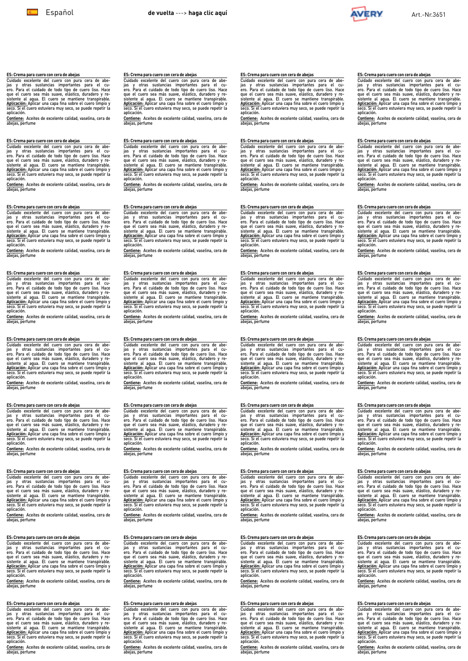

#### <span id="page-3-0"></span>**ES: Crema para cuero con cera de abejas**

Cuidado excelente del cuero con pura cera de abe-<br>jas y otras sustancias importantes para el cu-<br>ero. Para el cuidado de todo tipo de cuero liso. Hace<br>ero. Para el cuidado de todo tipo de cuero liso. Hace<br>sistente al agua.

**Contiene:** Aceites de excelente calidad, vaselina, cera de abejas, perfume

## **ES: Crema para cuero con cera de abejas**

Cuidado excelente del cuero con pura cera de abe-<br>jas y otras sustancias importantes para el cu-<br>ero. Para el cuidado de todo tipo de cuero liso. Hace<br>que el cuero sea más suave, elástico, duradoro y re-<br>sistente al agua.

**Contiene:** Aceites de excelente calidad, vaselina, cera de abejas, perfume

### **ES: Crema para cuero con cera de abejas**

Cuidado excelente del cuero con pura cera de abe-<br>gias y otras sustancias importantes para el cu-<br>ero. Para el cuidado de todo tipo de cuero liso. Hace<br>que el cuero sea más suave, elástico, durador y re-<br>áglicación: Aplica aplicación.

**Contiene:** Aceites de excelente calidad, vaselina, cera de abejas, perfume

**ES: Crema para cuero con cera de abejas**<br>Cuidado excelente del cuero con pura cera de abe-<br>Cuidado excelente del cuero con pura cera el cuero.<br>Para el cuidado de todo tipo de cuero liso. Hace<br>que el cuero sea más suave, e

**Contiene:** Aceites de excelente calidad, vaselina, cera de abejas, perfume

#### **ES: Crema para cuero con cera de abejas**

Cuidado excelente del cuero con pura cera de abe-<br>igis y otras sustancias importantes para el cu-<br>ero. Para el cuidado de todo tipo de cuero liso. Hace<br>que el cuero sea más suave, elástico, duradoro y re-<br>Aplicación: Aplic

aplicación.<br><u>Contiene:</u> Aceites de excelente calidad, vaselina, cera de<br>abejas, perfume

### **ES: Crema para cuero con cera de abejas**

Cuidado excelente del cuero con pura cera de abe-<br>gias y otras sustancias importantes para el cu-<br>ero. Para el cuidado de todo tipo de cuero liso. Hace<br>que el cuero sea más suave, elástico, durador y re-<br>áglicación: Aplica aplicación.

**Contiene:** Aceites de excelente calidad, vaselina, cera de abejas, perfume

### **ES: Crema para cuero con cera de abejas**

Cuidado excelente del cuero con pura cera de abe-<br>jas y otras sustancias importantes para el cu-<br>ero. Para el cuidado de todo tipo de cuero liso. Hace<br>que el cuero sea más suave, elástico, duradoro y re-<br>sistente al agua.

**Contiene:** Aceites de excelente calidad, vaselina, cera de abejas, perfume

### **ES: Crema para cuero con cera de abejas**

Cuidado excelente del cuero con pura cera de abe-<br>gias y otras sustancias importantes para el cu-<br>ero. Para el cuidado de todo tipo de cuero liso. Hace<br>que el cuero sea más suave, elástico, durador y re-<br>áglicación: Aplica aplicación.

**Contiene:** Aceites de excelente calidad, vaselina, cera de abejas, perfume

## **ES: Crema para cuero con cera de abejas**

Cuidado excelente del cuero con pura cera de abe-<br>jas y otras sustancias importantes para el cu-<br>ero. Para el cuidado de todo tipo de cuero liso. Hace<br>ero. Para el cuidado de todo tipo de cuero liso. Hace<br>sistente al agua.

**Contiene:** Aceites de excelente calidad, vaselina, cera de abejas, perfume

#### **ES: Crema para cuero con cera de abejas**

Cuidado excelente del cuero con pura cera de abe-<br>jas y otras sustancias importantes para el cui-<br>ero. Para el cuidado de todo tipo de cuero liso. Hace<br>ero. Para el cuidado de todo tipo de cuero liso. Hace<br>sistente al agua

**Contiene:** Aceites de excelente calidad, vaselina, cera de abejas, perfume

## **ES: Crema para cuero con cera de abejas**

Cuidado excelente del cuero con pura cera de abe-<br>jas y otras sustancias importantes para el cu-<br>ero. Para el cuidado de todo tipo de cuero liso. Hace<br>que el cuero sea más suave, elástico, durador y re-<br>sistente al agua. E

**Contiene:** Aceites de excelente calidad, vaselina, cera de abejas, perfume

### **ES: Crema para cuero con cera de abejas**

Cuidado excelente del cuero con pura cera de abe-<br>gias y otras sustancias importantes para el cu-<br>ero. Para el cuidado de todo tipo de cuero liso. Hace<br>que el cuero sea más suave, elástico, durador y re-<br>áglicación: Aplica aplicación.

**Contiene:** Aceites de excelente calidad, vaselina, cera de abejas, perfume

### **ES: Crema para cuero con cera de abejas**

Cuidado excelente del cuero con pura cera de abe-<br>jas y otras sustancias importantes para el cu-<br>ero. Para el cuidado de todo tipo de cuero liso. Hace<br>ero. Para el cuidado de todo tipo de cuero liso. Hace<br>sistente al agua.

**Contiene:** Aceites de excelente calidad, vaselina, cera de abejas, perfume

#### **ES: Crema para cuero con cera de abejas**

Cuidado excelente del cuero con pura cera de abe-<br>jas y otras sustancias importantes para el cu-<br>ero. Para el cuidado de todo tipo de cuero liso. Hace<br>que el cuero sea más suave, elástico, durador y re-<br>sistente al agua. E

**Contiene:** Aceites de excelente calidad, vaselina, cera de abejas, perfume

### **ES: Crema para cuero con cera de abejas**

Cuidado excelente del cuero con pura cera de abe-<br>gias y otras sustancias importantes para el cu-<br>ero. Para el cuidado de todo tipo de cuero liso. Hace<br>que el cuero sea más suave, elástico, durador y re-<br>áglicación: Aplica aplicación.

**Contiene:** Aceites de excelente calidad, vaselina, cera de abejas, perfume

#### **ES: Crema para cuero con cera de abejas**

Cuidado excelente del cuero con pura cera de abe-<br>gias y otras sustancias importantes para el cu-<br>ero. Para el cuidado de todo tipo de cuero liso. Hace<br>que el cuero sea más suave, elástico, durador y re-<br>áglicación: Aplica

aplicación.<br><u>Contiene:</u> Aceites de excelente calidad, vaselina, cera de<br>abejas, perfume

#### **ES: Crema para cuero con cera de abejas**

Cuidado excelente del cuero con pura cera de abe-<br>jas y otras sustancias importantes para el cui-<br>ero. Para el cuidado de todo tipo de cuero liso. Hace<br>ero. Para el cuidado de todo tipo de cuero liso. Hace<br>sistente al agua

**Contiene:** Aceites de excelente calidad, vaselina, cera de abejas, perfume

## **ES: Crema para cuero con cera de abejas**

Cuidado excelente del cuero con pura cera de abe-<br>gias y otras sustancias importantes para el cu-<br>ero. Para el cuidado de todo tipo de cuero líso. Hace<br>que el cuero sea más suave, elástico, durador y re-<br>ásticación: Aplica aplicación.

**Contiene:** Aceites de excelente calidad, vaselina, cera de abejas, perfume

#### **ES: Crema para cuero con cera de abejas**

Cuidado excelente del cuero con pura cera de abe-<br>jas y otras sustancias importantes para el cui-<br>ero. Para el cuidado de todo tipo de cuero liso. Hace<br>ero. Para el cuidado de todo tipo de cuero liso. Hace<br>sistente al agua

**Contiene:** Aceites de excelente calidad, vaselina, cera de abejas, perfume

## **ES: Crema para cuero con cera de abejas**

Cuidado excelente del cuero con pura cera de abe-<br>jas y otras sustancias importantes para el cu-<br>ero. Para el cuidado de todo tipo de cuero liso. Hace<br>que el cuero sea más suave, elástico, durador y re-<br>sistente al agua. E

**Contiene:** Aceites de excelente calidad, vaselina, cera de abejas, perfume

### **ES: Crema para cuero con cera de abejas**

Cuidado excelente del cuero con pura cera de abe-<br>jais y otras sustancias importantes para el cu-<br>ero. Para el cuidado de todo tipo de cuero liso. Hace<br>que el cuero sea más suave, elástico, durador y re-<br>áglicación: Aplica aplicación.

**Contiene:** Aceites de excelente calidad, vaselina, cera de abejas, perfume

#### **ES: Crema para cuero con cera de abejas**

Cuidado excelente del cuero con pura cera de abe-<br>jas y otras sustancias importantes para el cu-<br>ero. Para el cuidado de todo tipo de cuero liso. Hace<br>que el cuero sea más suave, elástico, durador y re-<br>sistente al agua. E

**Contiene:** Aceites de excelente calidad, vaselina, cera de abejas, perfume

#### **ES: Crema para cuero con cera de abejas**

Cuidado excelente del cuero con pura cera de abe-<br>jais y otras sustancias importantes para el cu-<br>ero. Para el cuidado de todo tipo de cuero liso. Hace<br>que el cuero sea más suave, elástico, durador y re-<br>áglicación: Aplica

aplicación.<br><u>Contiene:</u> Aceites de excelente calidad, vaselina, cera de<br>abejas, perfume

### **ES: Crema para cuero con cera de abejas**

Cuidado excelente del cuero con pura cera de abe-<br>jais y otras sustancias importantes para el cu-<br>ero. Para el cuidado de todo tipo de cuero liso. Hace<br>que el cuero sea más suave, elástico, durador y re-<br>abitanción: Aplica aplicación.

**Contiene:** Aceites de excelente calidad, vaselina, cera de abejas, perfume

#### **ES: Crema para cuero con cera de abejas**

Cuidado excelente del cuero con pura cera de abe-<br>jas y otras sustancias importantes para el cu-<br>ero. Para el cuidado de todo tipo de cuero liso. Hace<br>que el cuero sea más suave, elástico, durador y re-<br>sistente al agua. E

**Contiene:** Aceites de excelente calidad, vaselina, cera de abejas, perfume

#### **ES: Crema para cuero con cera de abejas**

Cuidado excelente del cuero con pura cera de abe-<br>jas y otras sustancias importantes para el cui-<br>ero. Para el cuidado de todo tipo de cuero liso. Hace<br>que el cuero sea más suave, elástico, durador y re-<br>sistente al agua.

**Contiene:** Aceites de excelente calidad, vaselina, cera de abejas, perfume

## **ES: Crema para cuero con cera de abejas**

Cuidado excelente del cuero con pura cera de abe-<br>jais y otras sustancias importantes para el cu-<br>ero. Para el cuidado de todo tipo de cuero liso. Hace<br>que el cuero sea más suave, elástico, durador y re-<br>ásticación: Aplica aplicación.

**Contiene:** Aceites de excelente calidad, vaselina, cera de abejas, perfume

#### **ES: Crema para cuero con cera de abejas**

Cuidado excelente del cuero con pura cera de abe-<br>jais y otras sustancias importantes para el cu-<br>ero. Para el cuidado de todo tipo de cuero liso. Hace<br>que el cuero sea más suave, elástico, duradero y re-<br>abitanción: Aplic aplicación.

**Contiene:** Aceites de excelente calidad, vaselina, cera de abejas, perfume

## **ES: Crema para cuero con cera de abejas**

Cuidado excelente del cuero con pura cera de abe-<br>jas y otras sustancias importantes para el cu-<br>ero. Para el cuidado de todo tipo de cuero liso. Hace<br>que el cuero sea más suave, elástico, duradero y re-<br>sistente al agua.

**Contiene:** Aceites de excelente calidad, vaselina, cera de abejas, perfume

### **ES: Crema para cuero con cera de abejas**

Cuidado excelente del cuero con pura cera de abe-<br>jais y otras sustancias importantes para el cu-<br>ero. Para el cuidado de todo tipo de cuero liso. Hace<br>que el cuero sea más suave, elástico, duradero y re-<br>áplicación: Aplic aplicación.

**Contiene:** Aceites de excelente calidad, vaselina, cera de abejas, perfume

#### **ES: Crema para cuero con cera de abejas**

Cuidado excelente del cuero con pura cera de abe-<br>jais y otras sustancias importantes para el cu-<br>ero. Para el cuidado de todo tipo de cuero liso. Hace<br>que el cuero sea más suave, elástico, duradero y re-<br>abitanción: Aplic

aplicación.<br><u>Contiene:</u> Aceites de excelente calidad, vaselina, cera de<br>abejas, perfume

#### **ES: Crema para cuero con cera de abejas**

**ES: Crema para cuero con cera de abejas**

**ES: Crema para cuero con cera de abejas**

**ES: Crema para cuero con cera de abejas**

**ES: Crema para cuero con cera de abejas**

aplicación.

abejas, perfume

aplicación.

Cuidado excelente del cuero con pura cera de abe-<br>jas y otras sustancias importantes para el cu-<br>ero. Para el cuidado de todo tipo de cuero liso. Hace<br>que el cuero sea más suave, elástico, duradero y re-<br>sistente al agua.

**Contiene:** Aceites de excelente calidad, vaselina, cera de abejas, perfume

Cuidado excelente del cuero con pura cera de abe-<br>jais y otras sustancias importantes para el cu-<br>ero. Para el cuidado de todo tipo de cuero liso. Hace<br>que el cuero sea más suave, elástico, duradero y re-<br>abitanción: Aplic

**Contiene:** Aceites de excelente calidad, vaselina, cera de abejas, perfume

Cuidado excelente del cuero con pura cera de abe-<br>jais y otras sustancias importantes para el cu-<br>ero. Para el cuidado de todo tipo de cuero liso. Hace<br>que el cuero sea más suave, elástico, duradero y re-<br>ápticación: Aplic

aplicación.<br><mark>Contiene:</mark> Aceites de excelente calidad, vaselina, cera de<br>abejas, perfume

Cuidado excelente del cuero con pura cera de abe-<br>jais y otras sustancias importantes para el cu-<br>ero. Para el cuidado de todo tipo de cuero liso. Hace<br>que el cuero sea más suave, elástico, duradero y re-<br>áplicación: Aplic

aplicación.<br><u>Contiene:</u> Aceites de excelente calidad, vaselina, cera de<br>abejas, perfume

Cuidado excelente del cuero con pura cera de abe-<br>jais y otras sustancias importantes para el cu-<br>ero. Para el cuidado de todo tipo de cuero liso. Hace<br>que el cuero sea más suave, elástico, duradero y re-<br>ápticación: Aplic

**Contiene:** Aceites de excelente calidad, vaselina, cera de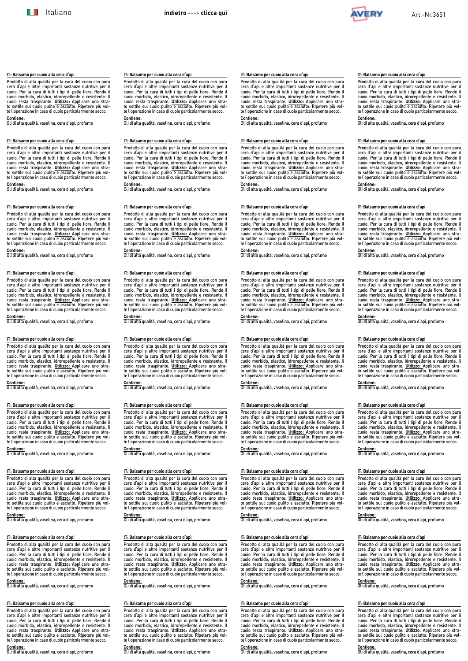<span id="page-4-0"></span>**IT: Balsamo per cuoio alla cera d'api**

**IT: Balsamo per cuoio alla cera d'api**

**IT: Balsamo per cuoio alla cera d'api**

**IT: Balsamo per cuoio alla cera d'api**

Prodotto di alta qualità per la cura del cuoio con pura

Prodotto di alta qualità per la cura del cuoio con pura<br>cera d'api e altre importanti sostanze nutritive per il<br>cuoio. Per la cura di tutti i tipi di pelle fiore. Rende il<br>cuoio morbido, elastico, idrorepellente e resisten

to sottile sul cuoio pulito e asciutto. Ripetere più vol-te l'operazione in caso di cuoio particolarmente secco. **Contiene:** Oli di alta qualità, vaselina, cera d'api, profumo

cera d'api e altre importanti sostanze nutritive per il<br>cuoio. Per la cura di tutti i tipi di pelle fiore. Rende il<br>cuoio morbido, elastico, idrorepellente e resistente. Il<br>cuoio resta traspirante. <u>Utilizzo:</u> Applicare un

Prodotto di alta qualità per la cura del cuoio con pura<br>cera d'api e altre importanti sostanze nutritve per li<br>cuoio. Per la cura di tutti i tipi di pelle fiore. Rende il<br>cuoio morbido, elastico, idrorepellente e resistent

te l'operazione in caso di cuoio particolarmente secco. **Contiene:** Oli di alta qualità, vaselina, cera d'api, profumo

cuoio. Per la cura di tutti i tipi di pelle fiore. Rende il cuoio morbido, elastico, idrorepellente e resistente. Il cuoio resta traspirante. **Utilizzo:** Applicare uno strato sottile sul cuoio pulito e asciutto. Ripetere più vol-te l'operazione in caso di cuoio particolarmente secco. **Contiene:** Oli di alta qualità, vaselina, cera d'api, profumo

Prodotto di alta qualità per la cura del cuoio con pura

cera d'api e altre importanti sostanze nutritive per il<br>cuoio. Per la cura di tutti i tipi di pelle fiore. Rende il<br>cuoio morbido, elastico, idrorepellente e resistente. Il<br>cuoio resta traspirante. <u>Utilizzo:</u> Applicare un

Prodotto di alta qualità per la cura del cuoio con pura<br>cera d'api e altre importanti sostanze nutritve per li<br>cuoio. Per la cura di tutti i tipi di pelle fiore. Rende il<br>cuoio morbido, elastico, idrorepellente e resistent

te l'operazione in caso di cuoio particolarmente secco. **Contiene:** Oli di alta qualità, vaselina, cera d'api, profumo

**Contiene:** Oli di alta qualità, vaselina, cera d'api, profumo

**IT: Balsamo per cuoio alla cera d'api**

**Contiene:** Oli di alta qualità, vaselina, cera d'api, profumo

**IT: Balsamo per cuoio alla cera d'api**

**IT: Balsamo per cuoio alla cera d'api**

**IT: Balsamo per cuoio alla cera d'api**

Prodotto di alta qualità per la cura del cuoio con pura cera d'api e altre importanti sostanze nutritive per il cuoio. Per la cura di tutti i tipi di pelle fiore. Rende il cuoio morbido, elastico, idrorepellente e resistente. Il cuoio resta traspirante. **Utilizzo:** Applicare uno strato sottile sul cuoio pulito e asciutto. Ripetere più vol-te l'operazione in caso di cuoio particolarmente secco. **Contiene:** Oli di alta qualità, vaselina, cera d'api, profumo

Prodotto di alta qualità per la cura del cuoio con pura

cera d'api e altre importanti sostanze nutritive per il<br>cuoio. Per la cura di tutti i tipi di pelle fiore. Rende il<br>cuoio morbido, elastico, idrorepellente e resistente. Il<br>cuoio resta traspirante. <u>Utilizzo:</u> Applicare un

Prodotto di alta qualità per la cura del cuoio con pura cera d'api e altre importanti sostanze nutritive per il<br>cuoio. Per la cura di tutti i tipi di pelle fiore. Rende il<br>cuoio morbido, elastico, idrorepellente e resistente. Il<br>cuoio resta traspirante. <u>Utilizzo</u>. Applicare un te l'operazione in caso di cuoio particolarmente secco. **Contiene:** Oli di alta qualità, vaselina, cera d'api, profumo

**Contiene:** Oli di alta qualità, vaselina, cera d'api, profumo

**IT: Balsamo per cuoio alla cera d'api**

**IT: Balsamo per cuoio alla cera d'api**

**IT: Balsamo per cuoio alla cera d'api**

**IT: Balsamo per cuoio alla cera d'api**

**IT: Balsamo per cuoio alla cera d'api**

**IT: Balsamo per cuoio alla cera d'api**

**IT: Balsamo per cuoio alla cera d'api**

Prodotto di alta qualità per la cura del cuoio con pura cera d'api e altre importanti sostanze nutritive per il<br>cuoio. Per la cura di tutti i tipi di pelle fiore. Rende il<br>cuoio morbido, elastico, idrorepellente e resistente. Il<br>cuoio resta traspirante. <u>Utilizzo:</u> Applicare un to sottile sul cuoio pulito e asciutto. Ripetere più vol-te l'operazione in caso di cuoio particolarmente secco. **Contiene:** Oli di alta qualità, vaselina, cera d'api, profumo

Prodotto di alta qualità per la cura del cuoio con pura cera d'api e altre importanti sostanze nutritive per il cuoio. Per la cura di tutti i tipi di pelle fiore. Rende il cuoio morbido, elastico, idrorepellente e resistente. Il cuoio resta traspirante. **Utilizzo:** Applicare uno stra-

Prodotto di alta qualità per la cura del cuoio con pura<br>cera d'api e altre importanti sostanze nutritve per il<br>cuoio. Per la cura di tutti i tipi di pelle fiore. Rende il<br>cuoio morbido, elastico, idrorepellente e resistent

te l'operazione in caso di cuoio particolarmente secco. **Contiene:** Oli di alta qualità, vaselina, cera d'api, profumo

Prodotto di alta qualità per la cura del cuoio con pura cera d'api e altre importanti sostanze nutritive per il cuoio. Per la cura di tutti i tipi di pelle fiore. Rende il cuoio morbido, elastico, idrorepellente e resistente. Il cuoio resta traspirante. **Utilizzo:** Applicare uno strato sottile sul cuoio pulito e asciutto. Ripetere più vol-te l'operazione in caso di cuoio particolarmente secco. **Contiene:** Oli di alta qualità, vaselina, cera d'api, profumo

Prodotto di alta qualità per la cura del cuoio con pura

cera d'api e altre importanti sostanze nutritive per il<br>cuoio. Per la cura di tutti i tipi di pelle fiore. Rende il<br>cuoio morbido, elastico, idrorepellente e resistente. Il<br>cuoio resta traspirante. <u>Utilizzo:</u> Applicare un

Prodotto di alta qualità per la cura del cuoio con pura<br>cera d'api e altre importanti sostanze nutritve per il<br>cuoio. Per la cura di tutti i tipi di pelle fiore. Rende il<br>cuoio morbido, elastico, idrorepellente e resistent

te l'operazione in caso di cuoio particolarmente secco. **Contiene:** Oli di alta qualità, vaselina, cera d'api, profumo

**Contiene:** Oli di alta qualità, vaselina, cera d'api, profumo

**IT: Balsamo per cuoio alla cera d'api**

Prodotto di alta qualità per la cura del cuoio con pura cera d'api e altre importanti sostanze nutritive per il cuoio. Per la cura di tutti i tipi di pelle fiore. Rende il cuoio morbido, elastico, idrorepellente e resistente. Il cuoio resta traspirante. **Utilizzo:** Applicare uno strato sottile sul cuoio pulito e asciutto. Ripetere più vol-te l'operazione in caso di cuoio particolarmente secco. **Contiene:** Oli di alta qualità, vaselina, cera d'api, profumo

Prodotto di alta qualità per la cura del cuoio con pura

cera d'api e altre importanti sostanze nutritive per il<br>cuoio. Per la cura di tutti i tipi di pelle fiore. Rende il<br>cuoio morbido, elastico, idrorepellente e resistente. Il<br>cuoio resta traspirante. <u>Utilizzo:</u> Applicare un

Prodotto di alta qualità per la cura del cuoio con pura cera d'api e altre importanti sostanze nutritive per il<br>cuoio. Per la cura di tutti i tipi di pelle fiore. Rende il<br>cuoio morbido, elastico, idrorepellente e resistente. Il<br>cuoio resta traspirante. <u>Utilizzo</u>: Applicare un te l'operazione in caso di cuoio particolarmente secco. **Contiene:** Oli di alta qualità, vaselina, cera d'api, profumo

**Contiene:** Oli di alta qualità, vaselina, cera d'api, profumo

**IT: Balsamo per cuoio alla cera d'api**

**IT: Balsamo per cuoio alla cera d'api**



### **IT: Balsamo per cuoio alla cera d'api**

Prodotto di alta qualità per la cura del cuoio con pura cera d'api e altre importanti sostanze nutritive per il cuoio. Per la cura di tutti i tipi di pelle fiore. Rende il cuoio morbido, elastico, idrorepellente e resistente. Il cuoio resta traspirante. **Utilizzo:** Applicare uno strato sottile sul cuoio pulito e asciutto. Ripetere più vol-te l'operazione in caso di cuoio particolarmente secco.

**Contiene:** Oli di alta qualità, vaselina, cera d'api, profumo

#### **IT: Balsamo per cuoio alla cera d'api**

Prodotto di alta qualità per la cura del cuoio con pura cera d'api e altre importanti sostanze nutritive per il<br>cuoio. Per la cura di tutti i tipi di pelle fiore. Rende il<br>cuoio morbido, elastico, idrorepellente e resistente. Il<br>cuoio resta traspirante. <u>Utilizzo:</u> Applicare un

**Contiene:** Oli di alta qualità, vaselina, cera d'api, profumo

### **IT: Balsamo per cuoio alla cera d'api**

Prodotto di alta qualità per la cura del cuoio con pura cera d'api e altre importanti sostanze nutritive per il<br>cuoio. Per la cura di tutti i tipi di pelle fiore. Rende il<br>cuoio morbido, elastico, idrorepellente e resistente. Il<br>cuoio resta traspirante. <u>Utilizzo:</u> Applicare un te l'operazione in caso di cuoio particolarmente secco.

**Contiene:** Oli di alta qualità, vaselina, cera d'api, profumo

### **IT: Balsamo per cuoio alla cera d'api**

Prodotto di alta qualità per la cura del cuoio con pura<br>cera d'api e altre importanti sostanze nutritive per il<br>cuoio. Per la cura di tutti i tipi di pelle fiore. Rende il<br>cuoio morbido, elastico, idrorepellente e resisten to sottile sul cuoio pulito e asciutto. Ripetere più vol-te l'operazione in caso di cuoio particolarmente secco.

**Contiene:** Oli di alta qualità, vaselina, cera d'api, profumo

## **IT: Balsamo per cuoio alla cera d'api**

Prodotto di alta qualità per la cura del cuoio con pura cera d'api e altre importanti sostanze nutritive per il<br>cuoio. Per la cura di tutti i tipi di pelle fiore. Rende il<br>cuoio morbido, elastico, idrorepellente e resistente. Il<br>cuoio resta traspirante. <u>Utilizzo:</u> Applicare un

**Contiene:** Oli di alta qualità, vaselina, cera d'api, profumo

#### **IT: Balsamo per cuoio alla cera d'api**

Prodotto di alta qualità per la cura del cuoio con pura<br>cera d'api e altre importanti sostanze nutritve per il<br>cuoio. Per la cura di tutti i tipi di pelle fiore. Rende il<br>cuoio morbido, elastico, idrorepellente e resistent te l'operazione in caso di cuoio particolarmente secco.

**Contiene:** Oli di alta qualità, vaselina, cera d'api, profumo

## **IT: Balsamo per cuoio alla cera d'api**

Prodotto di alta qualità per la cura del cuoio con pura cera d'api e altre importanti sostanze nutritive per il cuoio. Per la cura di tutti i tipi di pelle fiore. Rende il cuoio morbido, elastico, idrorepellente e resistente. Il cuoio resta traspirante. **Utilizzo:** Applicare uno strato sottile sul cuoio pulito e asciutto. Ripetere più vol-te l'operazione in caso di cuoio particolarmente secco.

**Contiene:** Oli di alta qualità, vaselina, cera d'api, profumo

### **IT: Balsamo per cuoio alla cera d'api**

Prodotto di alta qualità per la cura del cuoio con pura cera d'api e altre importanti sostanze nutritive per il<br>cuoio. Per la cura di tutti i tipi di pelle fiore. Rende il<br>cuoio morbido, elastico, idrorepellente e resistente. Il<br>cuoio resta traspirante. <u>Utilizzo:</u> Applicare un

**Contiene:** Oli di alta qualità, vaselina, cera d'api, profumo

# **IT: Balsamo per cuoio alla cera d'api**

Prodotto di alta qualità per la cura del cuoio con pura<br>cera d'api e altre importanti sostanze nutritive per il<br>cuoio. Per la cura di tutti i tipi di pelle fiore. Rende il<br>cuoio morbido, elastico, idrorepellente e resisten te l'operazione in caso di cuoio particolarmente secco.

### **IT: Balsamo per cuoio alla cera d'api**

Prodotto di alta qualità per la cura del cuoio con pura cera d'api e altre importanti sostanze nutritive per il cuoio. Per la cura di tutti i tipi di pelle fiore. Rende il cuoio morbido, elastico, idrorepellente e resistente. Il cuoio resta traspirante. **Utilizzo:** Applicare uno strato sottile sul cuoio pulito e asciutto. Ripetere più vol-te l'operazione in caso di cuoio particolarmente secco.

**Contiene:** Oli di alta qualità, vaselina, cera d'api, profumo

#### **IT: Balsamo per cuoio alla cera d'api**

Prodotto di alta qualità per la cura del cuoio con pura cera d'api e altre importanti sostanze nutritive per il<br>cuoio. Per la cura di tutti i tipi di pelle fiore. Rende il<br>cuoio morbido, elastico, idrorepellente e resistente. Il<br>cuoio resta traspirante. <u>Utilizzo:</u> Applicare un

**Contiene:** Oli di alta qualità, vaselina, cera d'api, profumo

### **IT: Balsamo per cuoio alla cera d'api**

Prodotto di alta qualità per la cura del cuoio con pura cera d'api e altre importanti sostanze nutritive per il<br>cuoio. Per la cura di tutti i tipi di pelle fiore. Rende il<br>cuoio morbido, elastico, idrorepellente e resistente. Il<br>cuoio resta traspirante. <u>Utilizzo</u>: Applicare un te l'operazione in caso di cuoio particolarmente secco.

**Contiene:** Oli di alta qualità, vaselina, cera d'api, profumo

### **IT: Balsamo per cuoio alla cera d'api**

Prodotto di alta qualità per la cura del cuoio con pura<br>cera d'api e altre importanti sostanze nutritive per il<br>cuoio. Per la cura di tutti i tipi di pelle fiore. Rende il<br>cuoio morbido, elastico, idrorepellente e resisten to sottile sul cuoio pulito e asciutto. Ripetere più vol-te l'operazione in caso di cuoio particolarmente secco.

**Contiene:** Oli di alta qualità, vaselina, cera d'api, profumo

Prodotto di alta qualità per la cura del cuoio con pura<br>cera d'api e altre importanti sostanze nutritve per li<br>cuoio. Per la cura di tutti i tipi di pelle fiore. Rende il<br>cuoio morbido, elastico, idrorepellente e resistent

Prodotto di alta qualità per la cura del cuoio con pura<br>cera d'api e altre importanti sostanze nutritive per il<br>cuoio. Per la cura di tutti i tipi di pelle fiore. Rende il<br>cuoio morbido, elastico, idrorepellente e resisten

Prodotto di alta qualità per la cura del cuoio con pura cera d'api e altre importanti sostanze nutritive per il<br>cuoio. Per la cura di tutti i tipi di pelle fiore. Rende il<br>cuoio morbido, elastico, idrorepellente e resistente. Il<br>cuoio resta traspirante. <u>Utilizzo:</u> Applicare un

## **IT: Balsamo per cuoio alla cera d'api**

Prodotto di alta qualità per la cura del cuoio con pura<br>cera d'api e altre importanti sostanze nutritve per li<br>cuoio. Per la cura di tutti i tipi di pelle fiore. Rende il<br>cuoio morbido, elastico, idrorepellente e resistent te l'operazione in caso di cuoio particolarmente secco.

#### Prodotto di alta qualità per la cura del cuoio con pura cera d'api e altre importanti sostanze nutritive per il

to sottile sul cuoio pulito e asciutto. Ripetere più vol-te l'operazione in caso di cuoio particolarmente secco.

# **Contiene:** Oli di alta qualità, vaselina, cera d'api, profumo

# to sottile sul cuoio pulito e asciutto. Ripetere più vol-te l'operazione in caso di cuoio particolarmente secco. **Contiene:** Oli di alta qualità, vaselina, cera d'api, profumo

## **IT: Balsamo per cuoio alla cera d'api**

Prodotto di alta qualità per la cura del cuoio con pura cera d'api e altre importanti sostanze nutritive per il<br>cuoio. Per la cura di tutti i tipi di pelle fiore. Rende il<br>cuoio morbido, elastico, idrorepellente e resistente. Il<br>cuoio resta traspirante. <u>Utilizzo:</u> Applicare un

**Contiene:** Oli di alta qualità, vaselina, cera d'api, profumo

#### **IT: Balsamo per cuoio alla cera d'api**

te l'operazione in caso di cuoio particolarmente secco.

**Contiene:** Oli di alta qualità, vaselina, cera d'api, profumo

## **IT: Balsamo per cuoio alla cera d'api**

**Contiene:** Oli di alta qualità, vaselina, cera d'api, profumo

## **IT: Balsamo per cuoio alla cera d'api**

**Contiene:** Oli di alta qualità, vaselina, cera d'api, profumo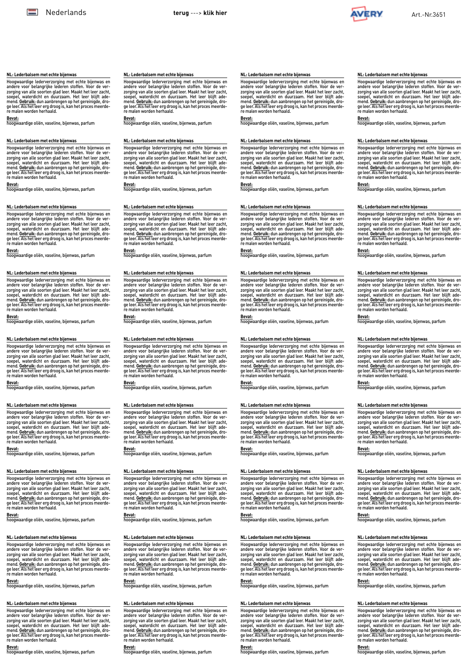

### <span id="page-5-0"></span>**NL: Lederbalsem met echte bijenwas**

Hoogwaardige lederverzorging met echte bijenwas en andere voor belangrijke lederen stoffen. Voor de verzorging van alle soorten glad leer. Maakt het leer zacht,<br>soepel, waterdicht en duurzaam. Het leer blijft ade-<br>mend. <u>Gebruik:</u> dun aanbrengen op het gereinigde, droge leer. Als het leer erg droog is, kan het proces meerde-re malen worden herhaald.

### **Bevat:**

hoogwaardige oliën, vaseline, bijenwas, parfum

#### **NL: Lederbalsem met echte bijenwas**

Hoogwaardige lederverzorging met echte bijenwas en andere voor belangrijke lederen stoffen. Voor de ver-<br>zorging van alle soorten glad leer. Maakt het leer zacht,<br>soepel, waterdicht en duurzaam. Het leer blijft ade-<br>mend. <u>Gebruik:</u> dun aanbrengen op het gereinigde, dro-<br>g

**Bevat:** hoogwaardige oliën, vaseline, bijenwas, parfum

#### **NL: Lederbalsem met echte bijenwas**

Hoogwaardige lederverzorging met echte bijenwas en<br>andere voor belangrijke lederen stoffen. Voor de ver-<br>zorging van alle soorten glad leer. Maakt het leer zacht,<br>soepel, waterdicht en duurzaam. Het leer blijft ade-<br>mend.

**Bevat:** hoogwaardige oliën, vaseline, bijenwas, parfum

### **NL: Lederbalsem met echte bijenwas**

Hoogwaardige lederverzorging met echte bijenwas en<br>andere voor belangrijke lederen stoffen. Voor de ver-<br>zorging van alle soorten glad leer. Maakt het leer zacht,<br>soepel, waterdicht en duurzaam. Het leer blijft ade-<br>mend. ge leer. Als het leer erg droog is, kan het proces meerde-re malen worden herhaald.

#### **Bevat:**

hoogwaardige oliën, vaseline, bijenwas, parfum

## **NL: Lederbalsem met echte bijenwas**

Hoogwaardige lederverzorging met echte bijenwas en andere voor belangrijke lederen stoffen. Voor de ver-<br>zorging van alle soorten glad leer. Maakt het leer zacht,<br>soepel, waterdicht en duurzaam. Het leer blijft ade-<br>mend. <u>Gebruik:</u> dun aanbrengen op het gereinigde, dro-<br>g

**Bevat:** hoogwaardige oliën, vaseline, bijenwas, parfum

#### **NL: Lederbalsem met echte bijenwas**

Hoogwaardige lederverzorging met echte bijenwas en<br>andere voor belangrijke lederen stoffen. Voor de ver-<br>zorging van alle soorten glad leer. Maakt het leer zacht,<br>soepel, waterdicht en duurzaam. Het leer blijft ade-<br>mend.

**Bevat:** hoogwaardige oliën, vaseline, bijenwas, parfum

### **NL: Lederbalsem met echte bijenwas**

Hoogwaardige lederverzorging met echte bijenwas en andere voor belangrijke lederen stoffen. Voor de verzorging van alle soorten glad leer. Maakt het leer zacht,<br>soepel, waterdicht en duurzaam. Het leer blijft ade-<br>mend. <u>Gebruik:</u> dun aanbrengen op het gereinigde, droge leer. Als het leer erg droog is, kan het proces meerde-re malen worden herhaald.

**Bevat:** hoogwaardige oliën, vaseline, bijenwas, parfum

### **NL: Lederbalsem met echte bijenwas**

Hoogwaardige lederverzorging met echte bijenwas en andere voor belangrijke lederen stoffen. Voor de ver-<br>zorging van alle soorten glad leer. Maakt het leer zacht,<br>soepel, waterdicht en duurzaam. Het leer blijft ade-<br>mend. <u>Gebruik:</u> dun aanbrengen op het gereinigde, dro-<br>g

**Bevat:** hoogwaardige oliën, vaseline, bijenwas, parfum

## **NL: Lederbalsem met echte bijenwas**

Hoogwaardige lederverzorging met echte bijenwas en<br>andere voor belangrijke lederen stoffen. Voor de ver-<br>zorging van alle soorten glad leer. Maakt het leer zacht,<br>soepel, waterdicht en duurzaam. Het leer blijft ade-<br>mend.

# **Bevat:** hoogwaardige oliën, vaseline, bijenwas, parfum

**NL: Lederbalsem met echte bijenwas**

Hoogwaardige lederverzorging met echte bijenwas en andere voor belangrijke lederen stoffen. Voor de verzorging van alle soorten glad leer. Maakt het leer zacht,<br>soepel, waterdicht en duurzaam. Het leer blijft ade-<br>mend. <u>Gebruik:</u> dun aanbrengen op het gereinigde, droge leer. Als het leer erg droog is, kan het proces meerde-re malen worden herhaald.

## **Bevat:**

hoogwaardige oliën, vaseline, bijenwas, parfum

#### **NL: Lederbalsem met echte bijenwas**

Hoogwaardige lederverzorging met echte bijenwas en andere voor belangrijke lederen stoffen. Voor de ver-<br>zorging van alle soorten glad leer. Maakt het leer zacht,<br>soepel, waterdicht en duurzaam. Het leer blijft ade-<br>mend. <u>Gebruik:</u> dun aanbrengen op het gereinigde, dro-<br>g

**Bevat:** hoogwaardige oliën, vaseline, bijenwas, parfum

#### **NL: Lederbalsem met echte bijenwas**

Hoogwaardige lederverzorging met echte bijenwas en<br>andere voor belangrijke lederen stoffen. Voor de ver-<br>zorging van alle soorten glad leer. Maakt het leer zacht,<br>soepel, waterdicht en duurzaam. Het leer blijft ade-<br>mend<u>.</u> re malen worden herhaald.

**Bevat:** hoogwaardige oliën, vaseline, bijenwas, parfum

### **NL: Lederbalsem met echte bijenwas**

Hoogwaardige lederverzorging met echte bijenwas en<br>andere voor belangrijke lederen stoffen. Voor de ver-<br>zorging van alle soorten glad leer. Maakt het leer zacht,<br>soepel, waterdicht en duurzaam. Het leer blijft ade-<br>mend. ge leer. Als het leer erg droog is, kan het proces meerde-re malen worden herhaald.

**Bevat:** hoogwaardige oliën, vaseline, bijenwas, parfum

## **NL: Lederbalsem met echte bijenwas**

Hoogwaardige lederverzorging met echte bijenwas en andere voor belangrijke lederen stoffen. Voor de ver-<br>zorging van alle soorten glad leer. Maakt het leer zacht,<br>soepel, waterdicht en duurzaam. Het leer blijft ade-<br>mend. <u>Gebruik:</u> dun aanbrengen op het gereinigde, dro-<br>g

**Bevat:** hoogwaardige oliën, vaseline, bijenwas, parfum

#### **NL: Lederbalsem met echte bijenwas**

Hoogwaardige lederverzorging met echte bijenwas en<br>andere voor belangrijke lederen stoffen. Voor de ver-<br>zorging van alle soorten glad leer. Maakt het leer zacht,<br>soepel, waterdicht en duurzaam. Het leer blijft ade-<br>mend<u>.</u> re malen worden herhaald.

**Bevat:** hoogwaardige oliën, vaseline, bijenwas, parfum

### **NL: Lederbalsem met echte bijenwas**

Hoogwaardige lederverzorging met echte bijenwas en andere voor belangrijke lederen stoffen. Voor de verzorging van alle soorten glad leer. Maakt het leer zacht,<br>soepel, waterdicht en duurzaam. Het leer blijft ade-<br>mend. <u>Gebruik:</u> dun aanbrengen op het gereinigde, droge leer. Als het leer erg droog is, kan het proces meerde-re malen worden herhaald.

**Bevat:** hoogwaardige oliën, vaseline, bijenwas, parfum

### **NL: Lederbalsem met echte bijenwas**

Hoogwaardige lederverzorging met echte bijenwas en andere voor belangrijke lederen stoffen. Voor de ver-<br>zorging van alle soorten glad leer. Maakt het leer zacht,<br>soepel, waterdicht en duurzaam. Het leer blijft ade-<br>mend. <u>Gebruik:</u> dun aanbrengen op het gereinigde, dro-<br>g **Bevat:**

hoogwaardige oliën, vaseline, bijenwas, parfum

## **NL: Lederbalsem met echte bijenwas**

Hoogwaardige lederverzorging met echte bijenwas en<br>andere voor belangrijke lederen stoffen. Voor de ver-<br>zorging van alle soorten glad leer. Maakt het leer zacht,<br>soepel, waterdicht en duurzaam. Het leer blijft ade-<br>mend<u>.</u> re malen worden herhaald.

**Bevat:** <u>------</u><br>oogwaardige oliën, vaseline, bijenwas, parfum

### **NL: Lederbalsem met echte bijenwas**

Hoogwaardige lederverzorging met echte bijenwas en andere voor belangrijke lederen stoffen. Voor de verzorging van alle soorten glad leer. Maakt het leer zacht, soepel, waterdicht en duurzaam. Het leer blijft ade-mend. **Gebruik:** dun aanbrengen op het gereinigde, droge leer. Als het leer erg droog is, kan het proces meerde-re malen worden herhaald.

**Bevat:** hoogwaardige oliën, vaseline, bijenwas, parfum

### **NL: Lederbalsem met echte bijenwas**

Hoogwaardige lederverzorging met echte bijenwas en andere voor belangrijke lederen stoffen. Voor de ver-<br>zorging van alle soorten glad leer. Maakt het leer zacht,<br>soepel, waterdicht en duurzaam. Het leer blijft ade-<br>mend. <u>Gebruik:</u> dun aanbrengen op het gereinigde, dro-<br>g

**Bevat:** hoogwaardige oliën, vaseline, bijenwas, parfum

#### **NL: Lederbalsem met echte bijenwas**

Hoogwaardige lederverzorging met echte bijenwas en<br>andere voor belangrijke lederen stoffen. Voor de ver-<br>zorging van alle soorten glad leer. Maakt het leer zacht,<br>soepel, waterdicht en duurzaam. Het leer blijft ade-<br>mend.

**Bevat:** hoogwaardige oliën, vaseline, bijenwas, parfum

### **NL: Lederbalsem met echte bijenwas**

Hoogwaardige lederverzorging met echte bijenwas en<br>andere voor belangrijke lederen stoffen. Voor de ver-<br>zorging van alle soorten glad leer. Maakt het leer zacht,<br>soepel, waterdicht en duurzaam. Het leer blijft ade-<br>mend. ge leer. Als het leer erg droog is, kan het proces meerde-re malen worden herhaald.

### **Bevat:**

hoogwaardige oliën, vaseline, bijenwas, parfum

## **NL: Lederbalsem met echte bijenwas**

Hoogwaardige lederverzorging met echte bijenwas en andere voor belangrijke lederen stoffen. Voor de ver-<br>zorging van alle soorten glad leer. Maakt het leer zacht,<br>soepel, waterdicht en duurzaam. Het leer blijft ade-<br>mend. <u>Gebruik:</u> dun aanbrengen op het gereinigde, dro-<br>g

**Bevat:** hoogwaardige oliën, vaseline, bijenwas, parfum

#### **NL: Lederbalsem met echte bijenwas**

Hoogwaardige lederverzorging met echte bijenwas en<br>andere voor belangrijke lederen stoffen. Voor de ver-<br>zorging van alle soorten glad leer. Maakt het leer zacht,<br>soepel, waterdicht en duurzaam. Het leer blijft ade-<br>mend.

**Bevat:** hoogwaardige oliën, vaseline, bijenwas, parfum

## **NL: Lederbalsem met echte bijenwas**

Hoogwaardige lederverzorging met echte bijenwas en andere voor belangrijke lederen stoffen. Voor de verzorging van alle soorten glad leer. Maakt het leer zacht, soepel, waterdicht en duurzaam. Het leer blijft ade-mend. **Gebruik:** dun aanbrengen op het gereinigde, droge leer. Als het leer erg droog is, kan het proces meerde-re malen worden herhaald.

**Bevat:** hoogwaardige oliën, vaseline, bijenwas, parfum

### **NL: Lederbalsem met echte bijenwas**

Hoogwaardige lederverzorging met echte bijenwas en andere voor belangrijke lederen stoffen. Voor de ver-<br>zorging van alle soorten glad leer. Maakt het leer zacht,<br>soepel, waterdicht en duurzaam. Het leer blijft ade-<br>mend. <u>Gebruik:</u> dun aanbrengen op het gereinigde, dro-<br>g

**Bevat:** hoogwaardige oliën, vaseline, bijenwas, parfum

## **NL: Lederbalsem met echte bijenwas**

Hoogwaardige lederverzorging met echte bijenwas en<br>andere voor belangrijke lederen stoffen. Voor de ver-<br>zorging van alle soorten glad leer. Maakt het leer zacht,<br>soepel, waterdicht en duurzaam. Het leer blijft ade-<br>mend.

**Bevat:** hoogwaardige oliën, vaseline, bijenwas, parfum

### **NL: Lederbalsem met echte bijenwas**

Hoogwaardige lederverzorging met echte bijenwas en andere voor belangrijke lederen stoffen. Voor de verzorging van alle soorten glad leer. Maakt het leer zacht, soepel, waterdicht en duurzaam. Het leer blijft ade-mend. **Gebruik:** dun aanbrengen op het gereinigde, droge leer. Als het leer erg droog is, kan het proces meerde-re malen worden herhaald.

### **Bevat:**

hoogwaardige oliën, vaseline, bijenwas, parfum

#### **NL: Lederbalsem met echte bijenwas**

**NL: Lederbalsem met echte bijenwas**

**Bevat:**

**Bevat:**

Hoogwaardige lederverzorging met echte bijenwas en

Hoogwaardige lederverzorging met echte bijenwas en<br>andere voor belangrijke lederen stoffen. Voor de ver-<br>zorging van alle soorten glad leer. Maakt het leer zacht,<br>soepel, waterdicht en duurzaam. Het leer blijft ade-<br>mend.

ge leer. Als het leer erg droog is, kan het proces meerde-re malen worden herhaald.

hoogwaardige oliën, vaseline, bijenwas, parfum

andere voor belangrijke lederen stoffen. Voor de ver-<br>zorging van alle soorten glad leer. Maakt het leer zacht,<br>soepel, waterdicht en duurzaam. Het leer blijft ade-<br>mend. <u>Gebruik:</u> dun aanbrengen op het gereinigde, dro-<br>g

Hoogwaardige lederverzorging met echte bijenwas en<br>andere voor belangrijke lederen stoffen. Voor de ver-<br>zorging van alle soorten glad leer. Maakt het leer zacht,<br>soepel, waterdicht en duurzaam. Het leer blijft ade-<br>mend.

Hoogwaardige lederverzorging met echte bijenwas en andere voor belangrijke lederen stoffen. Voor de verzorging van alle soorten glad leer. Maakt het leer zacht, soepel, waterdicht en duurzaam. Het leer blijft ade-mend. **Gebruik:** dun aanbrengen op het gereinigde, droge leer. Als het leer erg droog is, kan het proces meerde-re malen worden herhaald. **Bevat:** hoogwaardige oliën, vaseline, bijenwas, parfum

Hoogwaardige lederverzorging met echte bijenwas en

andere voor belangrijke lederen stoffen. Voor de ver-<br>zorging van alle soorten glad leer. Maakt het leer zacht,<br>soepel, waterdicht en duurzaam. Het leer blijft ade-<br>mend. <u>Gebruik:</u> dun aanbrengen op het gereinigde, dro-<br>g

Hoogwaardige lederverzorging met echte bijenwas en<br>andere voor belangrijke lederen stoffen. Voor de ver-<br>zorging van alle soorten glad leer. Maakt het leer zacht,<br>soepel, waterdicht en duurzaam. Het leer blijft ade-<br>mend.

hoogwaardige oliën, vaseline, bijenwas, parfum

hoogwaardige oliën, vaseline, bijenwas, parfum

**NL: Lederbalsem met echte bijenwas**

re malen worden herhaald.

hoogwaardige oliën, vaseline, bijenwas, parfum

**Bevat:** hoogwaardige oliën, vaseline, bijenwas, parfum

**NL: Lederbalsem met echte bijenwas**

**NL: Lederbalsem met echte bijenwas**

**Bevat:**

**Bevat:**

**NL: Lederbalsem met echte bijenwas**

re malen worden herhaald.

Hoogwaardige lederverzorging met echte bijenwas en andere voor belangrijke lederen stoffen. Voor de ver-<br>zorging van alle soorten glad leer. Maakt het leer zacht,<br>soepel, waterdicht en duurzaam. Het leer blijft ade-<br>mend. <u>Gebruik:</u> dun aanbrengen op het gereinigde, dro-<br>g

Hoogwaardige lederverzorging met echte bijenwas en<br>andere voor belangrijke lederen stoffen. Voor de ver-<br>zorging van alle soorten glad leer. Maakt het leer zacht,<br>soepel, waterdicht en duurzaam. Het leer blijft ade-<br>mend.

**Bevat:** hoogwaardige oliën, vaseline, bijenwas, parfum

**Bevat:** hoogwaardige oliën, vaseline, bijenwas, parfum

**NL: Lederbalsem met echte bijenwas**

**NL: Lederbalsem met echte bijenwas**

re malen worden herhaald.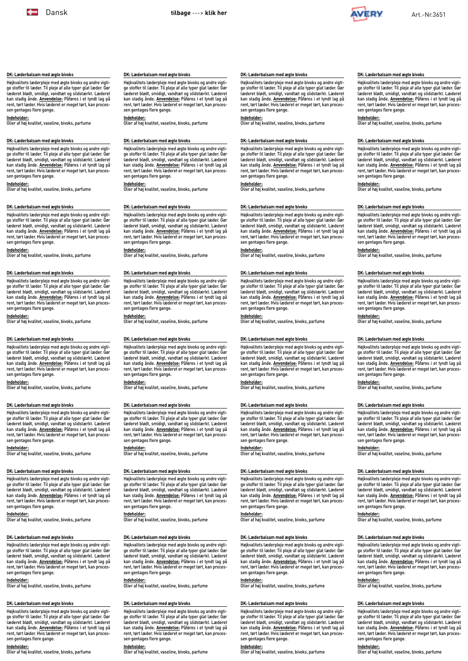

**DK: Læderbalsam med ægte bivoks** 

sen gentages flere gange.

sen gentages flere gange.

sen gentages flere gange.

sen gentages flere gange.

sen gentages flere gange.

sen gentages flere gange.

sen gentages flere gange. **Indeholder:**

sen gentages flere gange.

sen gentages flere gange.

Højkvalitets læderpleje med ægte bivoks og andre vigtige stoffer til læder. Til pleje af alle typer glat læder. Gør læderet blødt, smidigt, vandtæt og slidstærkt. Læderet kan stadig ånde. **Anvendelse:** Påføres i et tyndt lag på rent, tørt læder. Hvis læderet er meget tørt, kan proces-

Højkvalitets læderpleje med ægte bivoks og andre vigtige stoffer til læder. Til pleje af alle typer glat læder. Gør læderet blødt, smidigt, vandtæt og slidstærkt. Læderet kan stadig ånde. **Anvendelse:** Påføres i et tyndt lag på rent, tørt læder. Hvis læderet er meget tørt, kan proces-

Højkvalitets læderpleje med ægte bivoks og andre vigti-<br>ge stoffer til læder. Til pleje af alle typer glat læder. Gør<br>læderet blødt, smidigt, vandæt og slidstærkt. Læderet<br>kan stadig ånde. <u>Anvendelse:</u> Påføres i et tyndt

Højkvalitets læderpleje med ægte bivoks og andre vigti-ge stoffer til læder. Til pleje af alle typer glat læder. Gør læderet blødt, smidigt, vandtæt og slidstærkt. Læderet kan stadig ånde. **Anvendelse:** Påføres i et tyndt lag på rent, tørt læder. Hvis læderet er meget tørt, kan proces-

Højkvalitets læderpleje med ægte bivoks og andre vigtige stoffer til læder. Til pleje af alle typer glat læder. Gør læderet blødt, smidigt, vandtæt og slidstærkt. Læderet kan stadig ånde. **Anvendelse:** Påføres i et tyndt lag på rent, tørt læder. Hvis læderet er meget tørt, kan proces-

Højkvalitets læderpleje med ægte bivoks og andre vigtige stoffer til læder. Til pleje af alle typer glat læder. Gør læderet blødt, smidigt, vandtæt og slidstærkt. Læderet kan stadig ånde. **Anvendelse:** Påføres i et tyndt lag på rent, tørt læder. Hvis læderet er meget tørt, kan proces-

Højkvalitets læderpleje med ægte bivoks og andre vigti-ge stoffer til læder. Til pleje af alle typer glat læder. Gør læderet blødt, smidigt, vandtæt og slidstærkt. Læderet kan stadig ånde. **Anvendelse:** Påføres i et tyndt lag på rent, tørt læder. Hvis læderet er meget tørt, kan proces-

Højkvalitets læderpleje med ægte bivoks og andre vigti-ge stoffer til læder. Til pleje af alle typer glat læder. Gør læderet blødt, smidigt, vandtæt og slidstærkt. Læderet kan stadig ånde. **Anvendelse:** Påføres i et tyndt lag på rent, tørt læder. Hvis læderet er meget tørt, kan proces-

Højkvalitets læderpleje med ægte bivoks og andre vigti-ge stoffer til læder. Til pleje af alle typer glat læder. Gør læderet blødt, smidigt, vandtæt og slidstærkt. Læderet kan stadig ånde. **Anvendelse:** Påføres i et tyndt lag på rent, tørt læder. Hvis læderet er meget tørt, kan proc

**Indeholder:** Olier af høj kvalitet, vaseline, bivoks, parfume

**Indeholder:** Olier af høj kvalitet, vaseline, bivoks, parfume

**Indeholder:** Olier af høj kvalitet, vaseline, bivoks, parfume

**Indeholder:** Olier af høj kvalitet, vaseline, bivoks, parfume

**Indeholder:** Olier af høj kvalitet, vaseline, bivoks, parfume

**Indeholder:** Olier af høj kvalitet, vaseline, bivoks, parfume

Olier af høj kvalitet, vaseline, bivoks, parfume

**Indeholder:** Olier af høj kvalitet, vaseline, bivoks, parfume

**Indeholder:** Olier af høj kvalitet, vaseline, bivoks, parfume

**DK: Læderbalsam med ægte bivoks** 

**DK: Læderbalsam med ægte bivoks** 

**DK: Læderbalsam med ægte bivoks** 

**DK: Læderbalsam med ægte bivoks** 

**DK: Læderbalsam med ægte bivoks** 

**DK: Læderbalsam med ægte bivoks** 

**DK: Læderbalsam med ægte bivoks** 

**DK: Læderbalsam med ægte bivoks** 

### <span id="page-6-0"></span>**DK: Læderbalsam med ægte bivoks**

Højkvalitets læderpleje med ægte bivoks og andre vigtige stoffer til læder. Til pleje af alle typer glat læder. Gør læderet blødt, smidigt, vandtæt og slidstærkt. Læderet kan stadig ånde. **Anvendelse:** Påføres i et tyndt lag på rent, tørt læder. Hvis læderet er meget tørt, kan processen gentages flere gange.

**Indeholder:** Olier af høj kvalitet, vaseline, bivoks, parfume

## **DK: Læderbalsam med ægte bivoks**

Højkvalitets læderpleje med ægte bivoks og andre vigtige stoffer til læder. Til pleje af alle typer glat læder. Gør læderet blødt, smidigt, vandtæt og slidstærkt. Læderet kan stadig ånde. **Anvendelse:** Påføres i et tyndt lag på rent, tørt læder. Hvis læderet er meget tørt, kan processen gentages flere gange.

**Indeholder:** Olier af høj kvalitet, vaseline, bivoks, parfume

#### **DK: Læderbalsam med ægte bivoks**

Højkvalitets læderpleje med ægte bivoks og andre vigti-ge stoffer til læder. Til pleje af alle typer glat læder. Gør læderet blødt, smidigt, vandtæt og slidstærkt. Læderet<br>kan stadig ånde. <u>Anvendelse:</u> Påføres i et tyndt lag på<br>rent, tørt læder. Hvis læderet er meget tørt, kan processen gentages flere gange.

**Indeholder:** Olier af høj kvalitet, vaseline, bivoks, parfume

### **DK: Læderbalsam med ægte bivoks**

Højkvalitets læderpleje med ægte bivoks og andre vigti-ge stoffer til læder. Til pleje af alle typer glat læder. Gør læderet blødt, smidigt, vandtæt og slidstærkt. Læderet kan stadig ånde. **Anvendelse:** Påføres i et tyndt lag på rent, tørt læder. Hvis læderet er meget tørt, kan processen gentages flere gange.

**Indeholder:** Olier af høj kvalitet, vaseline, bivoks, parfume

## **DK: Læderbalsam med ægte bivoks**

Højkvalitets læderpleje med ægte bivoks og andre vigtige stoffer til læder. Til pleje af alle typer glat læder. Gør læderet blødt, smidigt, vandtæt og slidstærkt. Læderet kan stadig ånde. **Anvendelse:** Påføres i et tyndt lag på rent, tørt læder. Hvis læderet er meget tørt, kan processen gentages flere gange.

**Indeholder:** Olier af høj kvalitet, vaseline, bivoks, parfume

### **DK: Læderbalsam med ægte bivoks**

Højkvalitets læderpleje med ægte bivoks og andre vigtige stoffer til læder. Til pleje af alle typer glat læder. Gør læderet blødt, smidigt, vandtæt og slidstærkt. Læderet kan stadig ånde. **Anvendelse:** Påføres i et tyndt lag på rent, tørt læder. Hvis læderet er meget tørt, kan processen gentages flere gange.

**Indeholder:** Olier af høj kvalitet, vaseline, bivoks, parfume

## **DK: Læderbalsam med ægte bivoks**

Højkvalitets læderpleje med ægte bivoks og andre vigtige stoffer til læder. Til pleje af alle typer glat læder. Gør læderet blødt, smidigt, vandtæt og slidstærkt. Læderet kan stadig ånde. **Anvendelse:** Påføres i et tyndt lag på rent, tørt læder. Hvis læderet er meget tørt, kan processen gentages flere gange.

### **Indeholder:**

**Olier af høj kvalitet, vaseline, bivoks, parfume** 

### **DK: Læderbalsam med ægte bivoks**

Højkvalitets læderpleje med ægte bivoks og andre vigtige stoffer til læder. Til pleje af alle typer glat læder. Gør læderet blødt, smidigt, vandtæt og slidstærkt. Læderet<br>kan stadig ånde. <u>Anvendelse:</u> Påføres i et tyndt lag på<br>rent, tørt læder. Hvis læderet er meget tørt, kan processen gentages flere gange.

**Indeholder:** Olier af høj kvalitet, vaseline, bivoks, parfume

## **DK: Læderbalsam med ægte bivoks**

Højkvalitets læderpleje med ægte bivoks og andre vigti-<br>ge stoffer til læder. Til pleje af alle typer glat læder. Gør<br>læderet blødt, smidigt, vandtæt og slidstærkt. Læderet<br>kan stadig ånde. Anvendelse: Påføres i et tyndt l rent, tørt læder. Hvis læderet er meget tørt, kan processen gentages flere gange.

**Indeholder:** Olier af høj kvalitet, vaseline, bivoks, parfume

## **DK: Læderbalsam med ægte bivoks**

Højkvalitets læderpleje med ægte bivoks og andre vigtige stoffer til læder. Til pleje af alle typer glat læder. Gør læderet blødt, smidigt, vandtæt og slidstærkt. Læderet<br>kan stadig ånde. <u>Anvendelse:</u> Påføres i et tyndt lag på<br>rent, tørt læder. Hvis læderet er meget tørt, kan processen gentages flere gange.

**Indeholder:** Olier af høj kvalitet, vaseline, bivoks, parfume

## **DK: Læderbalsam med ægte bivoks**

Højkvalitets læderpleje med ægte bivoks og andre vigtige stoffer til læder. Til pleje af alle typer glat læder. Gør læderet blødt, smidigt, vandtæt og slidstærkt. Læderet kan stadig ånde. **Anvendelse:** Påføres i et tyndt lag på rent, tørt læder. Hvis læderet er meget tørt, kan processen gentages flere gange.

**Indeholder:** Olier af høj kvalitet, vaseline, bivoks, parfume

#### **DK: Læderbalsam med ægte bivoks**

Højkvalitets læderpleje med ægte bivoks og andre vigti-<br>ge stoffer til læder. Til pleje af alle typer glat læder. Gør<br>læderet blødt, smidigt, vandræt og slidstærkt. Læderet<br>kan stadig ånde. <u>Anvendelse:</u> Påføres i et tyndt sen gentages flere gange.

**Indeholder:** Olier af høj kvalitet, vaseline, bivoks, parfume

### **DK: Læderbalsam med ægte bivoks**

Højkvalitets læderpleje med ægte bivoks og andre vigti-ge stoffer til læder. Til pleje af alle typer glat læder. Gør læderet blødt, smidigt, vandtæt og slidstærkt. Læderet<br>kan stadig ånde. <u>Anvendelse:</u> Påføres i et tyndt lag på<br>rent, tørt læder. Hvis læderet er meget tørt, kan processen gentages flere gange.

**Indeholder:** Olier af høj kvalitet, vaseline, bivoks, parfume

## **DK: Læderbalsam med ægte bivoks**

Højkvalitets læderpleje med ægte bivoks og andre vigtige stoffer til læder. Til pleje af alle typer glat læder. Gør læderet blødt, smidigt, vandtæt og slidstærkt. Læderet kan stadig ånde. **Anvendelse:** Påføres i et tyndt lag på rent, tørt læder. Hvis læderet er meget tørt, kan processen gentages flere gange.

**Indeholder:** Olier af høj kvalitet, vaseline, bivoks, parfume

### **DK: Læderbalsam med ægte bivoks**

Højkvalitets læderpleje med ægte bivoks og andre vigtige stoffer til læder. Til pleje af alle typer glat læder. Gør læderet blødt, smidigt, vandtæt og slidstærkt. Læderet kan stadig ånde. **Anvendelse:** Påføres i et tyndt lag på rent, tørt læder. Hvis læderet er meget tørt, kan processen gentages flere gange.

**Indeholder:** Olier af høj kvalitet, vaseline, bivoks, parfume

## **DK: Læderbalsam med ægte bivoks**

Højkvalitets læderpleje med ægte bivoks og andre vigti-ge stoffer til læder. Til pleje af alle typer glat læder. Gør læderet blødt, smidigt, vandtæt og slidstærkt. Læderet kan stadig ånde. **Anvendelse:** Påføres i et tyndt lag på rent, tørt læder. Hvis læderet er meget tørt, kan processen gentages flere gange. **Indeholder:**

Olier af høj kvalitet, vaseline, bivoks, parfume

### **DK: Læderbalsam med ægte bivoks**

Højkvalitets læderpleje med ægte bivoks og andre vigtige stoffer til læder. Til pleje af alle typer glat læder. Gør læderet blødt, smidigt, vandtæt og slidstærkt. Læderet<br>kan stadig ånde. <u>Anvendelse:</u> Påføres i et tyndt lag på<br>rent, tørt læder. Hvis læderet er meget tørt, kan processen gentages flere gange.

**Indeholder:** Olier af høj kvalitet, vaseline, bivoks, parfume

## **DK: Læderbalsam med ægte bivoks**

Højkvalitets læderpleje med ægte bivoks og andre vigti-ge stoffer til læder. Til pleje af alle typer glat læder. Gør læderet blødt, smidigt, vandtæt og slidstærkt. Læderet kan stadig ånde. **Anvendelse:** Påføres i et tyndt lag på rent, tørt læder. Hvis læderet er meget tørt, kan proc sen gentages flere gange.

**Indeholder: MENTEREREREE:**<br>Olier af høj kvalitet, vaseline, bivoks, parfume

## **DK: Læderbalsam med ægte bivoks**

Højkvalitets læderpleje med ægte bivoks og andre vigtige stoffer til læder. Til pleje af alle typer glat læder. Gør læderet blødt, smidigt, vandtæt og slidstærkt. Læderet kan stadig ånde. **Anvendelse:** Påføres i et tyndt lag på rent, tørt læder. Hvis læderet er meget tørt, kan processen gentages flere gange.

**Indeholder:** Olier af høj kvalitet, vaseline, bivoks, parfume

## **DK: Læderbalsam med ægte bivoks**

Højkvalitets læderpleje med ægte bivoks og andre vigtige stoffer til læder. Til pleje af alle typer glat læder. Gør læderet blødt, smidigt, vandtæt og slidstærkt. Læderet kan stadig ånde. **Anvendelse:** Påføres i et tyndt lag på rent, tørt læder. Hvis læderet er meget tørt, kan processen gentages flere gange.

**Indeholder:** Olier af høj kvalitet, vaseline, bivoks, parfume

#### **DK: Læderbalsam med ægte bivoks**

Højkvalitets læderpleje med ægte bivoks og andre vigti-ge stoffer til læder. Til pleje af alle typer glat læder. Gør læderet blødt, smidigt, vandtæt og slidstærkt. Læderet kan stadig ånde. **Anvendelse:** Påføres i et tyndt lag på rent, tørt læder. Hvis læderet er meget tørt, kan processen gentages flere gange.

**Indeholder:** Olier af høj kvalitet, vaseline, bivoks, parfume

### **DK: Læderbalsam med ægte bivoks**

Højkvalitets læderpleje med ægte bivoks og andre vigti-ge stoffer til læder. Til pleje af alle typer glat læder. Gør læderet blødt, smidigt, vandtæt og slidstærkt. Læderet kan stadig ånde. **Anvendelse:** Påføres i et tyndt lag på rent, tørt læder. Hvis læderet er meget tørt, kan processen gentages flere gange.

**Indeholder:** Olier af høj kvalitet, vaseline, bivoks, parfume

## **DK: Læderbalsam med ægte bivoks**

Højkvalitets læderpleje med ægte bivoks og andre vigtige stoffer til læder. Til pleje af alle typer glat læder. Gør læderet blødt, smidigt, vandtæt og slidstærkt. Læderet kan stadig ånde. **Anvendelse:** Påføres i et tyndt lag på rent, tørt læder. Hvis læderet er meget tørt, kan processen gentages flere gange.

**Indeholder:** Olier af høj kvalitet, vaseline, bivoks, parfume

### **DK: Læderbalsam med ægte bivoks**

Højkvalitets læderpleje med ægte bivoks og andre vigtige stoffer til læder. Til pleje af alle typer glat læder. Gør læderet blødt, smidigt, vandtæt og slidstærkt. Læderet kan stadig ånde. **Anvendelse:** Påføres i et tyndt lag på rent, tørt læder. Hvis læderet er meget tørt, kan processen gentages flere gange.

**Indeholder:** Olier af høj kvalitet, vaseline, bivoks, parfume

## **DK: Læderbalsam med ægte bivoks**

Højkvalitets læderpleje med ægte bivoks og andre vigti-ge stoffer til læder. Til pleje af alle typer glat læder. Gør læderet blødt, smidigt, vandtæt og slidstærkt. Læderet kan stadig ånde. **Anvendelse:** Påføres i et tyndt lag på rent, tørt læder. Hvis læderet er meget tørt, kan processen gentages flere gange. **Indeholder:**

**Olier af høj kvalitet, vaseline, bivoks, parfume** 

### **DK: Læderbalsam med ægte bivoks**

Højkvalitets læderpleje med ægte bivoks og andre vigtige stoffer til læder. Til pleje af alle typer glat læder. Gør læderet blødt, smidigt, vandtæt og slidstærkt. Læderet<br>kan stadig ånde. <u>Anvendelse:</u> Påføres i et tyndt lag på<br>rent, tørt læder. Hvis læderet er meget tørt, kan processen gentages flere gange.

**Indeholder:** Olier af høj kvalitet, vaseline, bivoks, parfume

## **DK: Læderbalsam med ægte bivoks**

Højkvalitets læderpleje med ægte bivoks og andre vigti-ge stoffer til læder. Til pleje af alle typer glat læder. Gør læderet blødt, smidigt, vandtæt og slidstærkt. Læderet kan stadig ånde. **Anvendelse:** Påføres i et tyndt lag på rent, tørt læder. Hvis læderet er meget tørt, kan processen gentages flere gange.

# **Indeholder:** Olier af høj kvalitet, vaseline, bivoks, parfume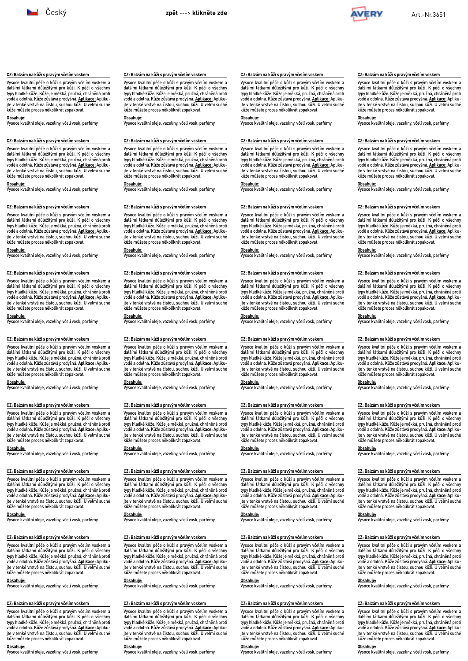

**CZ: Balzám na kůži s pravým včelím voskem** Vysoce kvalitní péče o kůži s pravým včelím voskem a dalšími látkami důležitými pro kůži. K péči o všechny typy hladké kůže. Kůže je měkká, pružná, chráněná proti<br>vodě a odolná. Kůže zůstává prodyšná. <u>Aplikace:</u> Apliku-<br>jte v tenké vrstvě na čistou, suchou kůži. U velmi suché

kůže můžete proces několikrát zopakovat. **Obsahuje:** Vysoce kvalitní oleje, vazelíny, včelí vosk, parfémy

**CZ: Balzám na kůži s pravým včelím voskem** Vysoce kvalitní péče o kůži s pravým včelím voskem a dalšími látkami důležitými pro kůži. K péči o všechny typy hladké kůže. Kůže je měkká, pružná, chráněná proti vodě a odolná. Kůže zůstává prodyšná. **Aplikace:** Aplikujte v tenké vrstvě na čistou, suchou kůži. U velmi suché kůže můžete proces několikrát zopakovat. **Obsahuje:** Vysoce kvalitní oleje, vazelíny, včelí vosk, parfémy

**CZ: Balzám na kůži s pravým včelím voskem** Vysoce kvalitní péče o kůži s pravým včelím voskem a dalšími látkami důležitými pro kůži. K péči o všechny typy hladké kůže. Kůže je měkká, pružná, chráněná proti<br>vodě a odolná. Kůže zůstává prodyšná. <u>Aplikace:</u> Apliku-<br>jte v tenké vrstvě na čistou, suchou kůži. U velmi suché

kůže můžete proces několikrát zopakovat. **Obsahuje:** Vysoce kvalitní oleje, vazelíny, včelí vosk, parfémy

**CZ: Balzám na kůži s pravým včelím voskem** Vysoce kvalitní péče o kůži s pravým včelím voskem a dalšími látkami důležitými pro kůži. K péči o všechny typy hladké kůže. Kůže je měkká, pružná, chráněná proti<br>vodě a odolná. Kůže zůstává prodyšná. <u>Aplikace:</u> Apliku-<br>jte v tenké vrstvě na čistou, suchou kůži. U velmi suché

kůže můžete proces několikrát zopakovat. **Obsahuje:** Vysoce kvalitní oleje, vazelíny, včelí vosk, parfémy

**CZ: Balzám na kůži s pravým včelím voskem** Vysoce kvalitní péče o kůži s pravým včelím voskem a dalšími látkami důležitými pro kůži. K péči o všechny typy hladké kůže. Kůže je měkká, pružná, chráněná proti vodě a odolná. Kůže zůstává prodyšná. **Aplikace:** Aplikujte v tenké vrstvě na čistou, suchou kůži. U velmi suché kůže můžete proces několikrát zopakovat. **Obsahuje:** Vysoce kvalitní oleje, vazelíny, včelí vosk, parfémy

**CZ: Balzám na kůži s pravým včelím voskem**

**CZ: Balzám na kůži s pravým včelím voskem** Vysoce kvalitní péče o kůži s pravým včelím voskem a dalšími látkami důležitými pro kůži. K péči o všechny typy hladké kůže. Kůže je měkká, pružná, chráněná proti<br>vodě a odolná. Kůže zůstává prodyšná. <u>Aplikace:</u> Apliku-<br>jte v tenké vrstvě na čistou, suchou kůži. U velmi suché

kůže můžete proces několikrát zopakovat. **Obsahuje:** Vysoce kvalitní oleje, vazelíny, včelí vosk, parfémy

**CZ: Balzám na kůži s pravým včelím voskem** Vysoce kvalitní péče o kůži s pravým včelím voskem a dalšími látkami důležitými pro kůži. K péči o všechny typy hladké kůže. Kůže je měkká, pružná, chráněná proti vodě a odolná. Kůže zůstává prodyšná. **Aplikace:** Aplikujte v tenké vrstvě na čistou, suchou kůži. U velmi suché kůže můžete proces několikrát zopakovat. **Obsahuje:** Vysoce kvalitní oleje, vazelíny, včelí vosk, parfémy

**CZ: Balzám na kůži s pravým včelím voskem**

Vysoce kvalitní péče o kůži s pravým včelím voskem a dalšími látkami důležitými pro kůži. K péči o všechny typy hladké kůže. Kůže je měkká, pružná, chráněná proti vodě a odolná. Kůže zůstává prodyšná. **Aplikace:** Aplikujte v tenké vrstvě na čistou, suchou kůži. U velmi suché kůže můžete proces několikrát zopakovat. **Obsahuje:** Vysoce kvalitní oleje, vazelíny, včelí vosk, parfémy

Vysoce kvalitní péče o kůži s pravým včelím voskem a<br>dalšími látkami důležitými pro kůži. K péči o všechny<br>typy hladké kůže Kůže je měkká, pružná, chráněná proti<br>vodě a odolná. Kůže zůstává prodyšná. <u>Aplikace:</u> Aplikujte v tenké vrstvě na čistou, suchou kůži. U velmi suché kůže můžete proces několikrát zopakovat. **Obsahuje:** Vysoce kvalitní oleje, vazelíny, včelí vosk, parfémy

### <span id="page-7-0"></span>**CZ: Balzám na kůži s pravým včelím voskem**

Vysoce kvalitní péče o kůži s pravým včelím voskem a dalšími látkami důležitými pro kůži. K péči o všechny typy hladké kůže. Kůže je měkká, pružná, chráněná proti<br>vodě a odolná. Kůže zůstává prodyšná. <u>Aplikace:</u> Apliku-<br>jte v tenké vrstvě na čistou, suchou kůži. U velmi suché kůže můžete proces několikrát zopakovat.

**Obsahuje:** Vysoce kvalitní oleje, vazelíny, včelí vosk, parfémy

## **CZ: Balzám na kůži s pravým včelím voskem**

Vysoce kvalitní péče o kůži s pravým včelím voskem a dalšími látkami důležitými pro kůži. K péči o všechny typy hladké kůže. Kůže je měkká, pružná, chráněná proti vodě a odolná. Kůže zůstává prodyšná. **Aplikace:** Aplikujte v tenké vrstvě na čistou, suchou kůži. U velmi suché kůže můžete proces několikrát zopakovat.

**Obsahuje:** Vysoce kvalitní oleje, vazelíny, včelí vosk, parfémy

#### **CZ: Balzám na kůži s pravým včelím voskem**

Vysoce kvalitní péče o kůži s pravým včelím voskem a dalšími látkami důležitými pro kůži. K péči o všechny typy hladké kůže. Kůže je měkká, pružná, chráněná proti vodě a odolná. Kůže zůstává prodyšná. **Aplikace:** Apliku-jte v tenké vrstvě na čistou, suchou kůži. U velmi suché kůže můžete proces několikrát zopakovat.

**Obsahuje:** Vysoce kvalitní oleje, vazelíny, včelí vosk, parfémy

### **CZ: Balzám na kůži s pravým včelím voskem**

Vysoce kvalitní péče o kůži s pravým včelím voskem a dalšími látkami důležitými pro kůži. K péči o všechny typy hladké kůže. Kůže je měkká, pružná, chráněná proti<br>vodě a odolná. Kůže zůstává prodyšná. <u>Aplikace:</u> Apliku-<br>jte v tenké vrstvě na čistou, suchou kůži. U velmi suché kůže můžete proces několikrát zopakovat.

**Obsahuje:** Vysoce kvalitní oleje, vazelíny, včelí vosk, parfémy

## **CZ: Balzám na kůži s pravým včelím voskem**

Vysoce kvalitní péče o kůži s pravým včelím voskem a dalšími látkami důležitými pro kůži. K péči o všechny typy hladké kůže. Kůže je měkká, pružná, chráněná proti vodě a odolná. Kůže zůstává prodyšná. **Aplikace:** Aplikujte v tenké vrstvě na čistou, suchou kůži. U velmi suché kůže můžete proces několikrát zopakovat.

**Obsahuje:** Vysoce kvalitní oleje, vazelíny, včelí vosk, parfémy

#### **CZ: Balzám na kůži s pravým včelím voskem**

Vysoce kvalitní péče o kůži s pravým včelím voskem a dalšími látkami důležitými pro kůži. K péči o všechny typy hladké kůže. Kůže je měkká, pružná, chráněná proti vodě a odolná. Kůže zůstává prodyšná. **Aplikace:** Apliku-jte v tenké vrstvě na čistou, suchou kůži. U velmi suché kůže můžete proces několikrát zopakovat.

#### **Obsahuje:**

Vysoce kvalitní oleje, vazelíny, včelí vosk, parfémy

### **CZ: Balzám na kůži s pravým včelím voskem**

Vysoce kvalitní péče o kůži s pravým včelím voskem a dalšími látkami důležitými pro kůži. K péči o všechny typy hladké kůže. Kůže je měkká, pružná, chráněná proti<br>vodě a odolná. Kůže zůstává prodyšná. <u>Aplikace:</u> Apliku-<br>jte v tenké vrstvě na čistou, suchou kůži. U velmi suché kůže můžete proces několikrát zopakovat.

**Obsahuje:** Vysoce kvalitní oleje, vazelíny, včelí vosk, parfémy

## **CZ: Balzám na kůži s pravým včelím voskem**

Vysoce kvalitní péče o kůži s pravým včelím voskem a dalšími látkami důležitými pro kůži. K péči o všechny typy hladké kůže. Kůže je měkká, pružná, chráněná proti vodě a odolná. Kůže zůstává prodyšná. **Aplikace:** Aplikujte v tenké vrstvě na čistou, suchou kůži. U velmi suché kůže můžete proces několikrát zopakovat.

**Obsahuje:** Vysoce kvalitní oleje, vazelíny, včelí vosk, parfémy

## **CZ: Balzám na kůži s pravým včelím voskem**

Vysoce kvalitní péče o kůži s pravým včelím voskem a dalšími látkami důležitými pro kůži. K péči o všechny typy hladké kůže. Kůže je měkká, pružná, chráněná proti vodě a odolná. Kůže zůstává prodyšná. **Aplikace:** Apliku-jte v tenké vrstvě na čistou, suchou kůži. U velmi suché kůže můžete proces několikrát zopakovat.

**Obsahuje:** Vysoce kvalitní oleje, vazelíny, včelí vosk, parfémy

## **CZ: Balzám na kůži s pravým včelím voskem**

Vysoce kvalitní péče o kůži s pravým včelím voskem a dalšími látkami důležitými pro kůži. K péči o všechny typy hladké kůže. Kůže je měkká, pružná, chráněná proti<br>vodě a odolná. Kůže zůstává prodyšná. <u>Aplikace:</u> Apliku-<br>jte v tenké vrstvě na čistou, suchou kůži. U velmi suché kůže můžete proces několikrát zopakovat.

**Obsahuje:** Vysoce kvalitní oleje, vazelíny, včelí vosk, parfémy

## **CZ: Balzám na kůži s pravým včelím voskem**

Vysoce kvalitní péče o kůži s pravým včelím voskem a dalšími látkami důležitými pro kůži. K péči o všechny typy hladké kůže. Kůže je měkká, pružná, chráněná proti vodě a odolná. Kůže zůstává prodyšná. **Aplikace:** Aplikujte v tenké vrstvě na čistou, suchou kůži. U velmi suché kůže můžete proces několikrát zopakovat.

**Obsahuje:** Vysoce kvalitní oleje, vazelíny, včelí vosk, parfémy

### **CZ: Balzám na kůži s pravým včelím voskem**

Vysoce kvalitní péče o kůži s pravým včelím voskem a dalšími látkami důležitými pro kůži. K péči o všechny typy hladké kůže. Kůže je měkká, pružná, chráněná proti<br>vodě a odolná. Kůže zůstává prodyšná. <u>Aplikace:</u> Apliku-<br>jte v tenké vrstvě na čistou, suchou kůži. U velmi suché kůže můžete proces několikrát zopakovat.

**Obsahuje:** Vysoce kvalitní oleje, vazelíny, včelí vosk, parfémy

### **CZ: Balzám na kůži s pravým včelím voskem**

Vysoce kvalitní péče o kůži s pravým včelím voskem a dalšími látkami důležitými pro kůži. K péči o všechny typy hladké kůže. Kůže je měkká, pružná, chráněná proti<br>vodě a odolná. Kůže zůstává prodyšná. <u>Aplikace:</u> Apliku-<br>jte v tenké vrstvě na čistou, suchou kůži. U velmi suché kůže můžete proces několikrát zopakovat.

**Obsahuje:** Vysoce kvalitní oleje, vazelíny, včelí vosk, parfémy

## **CZ: Balzám na kůži s pravým včelím voskem**

Vysoce kvalitní péče o kůži s pravým včelím voskem a dalšími látkami důležitými pro kůži. K péči o všechny typy hladké kůže. Kůže je měkká, pružná, chráněná proti vodě a odolná. Kůže zůstává prodyšná. **Aplikace:** Aplikujte v tenké vrstvě na čistou, suchou kůži. U velmi suché kůže můžete proces několikrát zopakovat.

**Obsahuje:** Vysoce kvalitní oleje, vazelíny, včelí vosk, parfémy

#### **CZ: Balzám na kůži s pravým včelím voskem**

Vysoce kvalitní péče o kůži s pravým včelím voskem a dalšími látkami důležitými pro kůži. K péči o všechny typy hladké kůže. Kůže je měkká, pružná, chráněná proti vodě a odolná. Kůže zůstává prodyšná. **Aplikace:** Aplikujte v tenké vrstvě na čistou, suchou kůži. U velmi suché kůže můžete proces několikrát zopakovat.

**Obsahuje:** Vysoce kvalitní oleje, vazelíny, včelí vosk, parfémy

### **CZ: Balzám na kůži s pravým včelím voskem**

Vysoce kvalitní péče o kůži s pravým včelím voskem a dalšími látkami důležitými pro kůži. K péči o všechny typy hladké kůže. Kůže je měkká, pružná, chráněná proti<br>vodě a odolná. Kůže zůstává prodyšná. <u>Aplikace:</u> Apliku-<br>jte v tenké vrstvě na čistou, suchou kůži. U velmi suché kůže můžete proces několikrát zopakovat.

**Obsahuje:** Vysoce kvalitní oleje, vazelíny, včelí vosk, parfémy

### **CZ: Balzám na kůži s pravým včelím voskem**

Vysoce kvalitní péče o kůži s pravým včelím voskem a dalšími látkami důležitými pro kůži. K péči o všechny typy hladké kůže. Kůže je měkká, pružná, chráněná proti vodě a odolná. Kůže zůstává prodyšná. **Aplikace:** Aplikujte v tenké vrstvě na čistou, suchou kůži. U velmi suché kůže můžete proces několikrát zopakovat.

**Obsahuje:** Vysoce kvalitní oleje, vazelíny, včelí vosk, parfémy

## **CZ: Balzám na kůži s pravým včelím voskem**

Vysoce kvalitní péče o kůži s pravým včelím voskem a dalšími látkami důležitými pro kůži. K péči o všechny typy hladké kůže. Kůže je měkká, pružná, chráněná proti<br>vodě a odolná. Kůže zůstává prodyšná. <u>Aplikace:</u> Apliku-<br>jte v tenké vrstvě na čistou, suchou kůži. U velmi suché kůže můžete proces několikrát zopakovat.

# **Obsahuje:** Vysoce kvalitní oleje, vazelíny, včelí vosk, parfémy

## **CZ: Balzám na kůži s pravým včelím voskem**

Vysoce kvalitní péče o kůži s pravým včelím voskem a dalšími látkami důležitými pro kůži. K péči o všechny typy hladké kůže. Kůže je měkká, pružná, chráněná proti<br>vodě a odolná. Kůže zůstává prodyšná. <u>Aplikace:</u> Apliku-<br>jte v tenké vrstvě na čistou, suchou kůži. U velmi suché kůže můžete proces několikrát zopakovat.

**Obsahuje:** Vysoce kvalitní oleje, vazelíny, včelí vosk, parfémy

## **CZ: Balzám na kůži s pravým včelím voskem**

Vysoce kvalitní péče o kůži s pravým včelím voskem a dalšími látkami důležitými pro kůži. K péči o všechny typy hladké kůže. Kůže je měkká, pružná, chráněná proti vodě a odolná. Kůže zůstává prodyšná. **Aplikace:** Aplikujte v tenké vrstvě na čistou, suchou kůži. U velmi suché kůže můžete proces několikrát zopakovat.

**Obsahuje:** Vysoce kvalitní oleje, vazelíny, včelí vosk, parfémy

#### **CZ: Balzám na kůži s pravým včelím voskem**

Vysoce kvalitní péče o kůži s pravým včelím voskem a dalšími látkami důležitými pro kůži. K péči o všechny typy hladké kůže. Kůže je měkká, pružná, chráněná proti vodě a odolná. Kůže zůstává prodyšná. **Aplikace:** Apliku-jte v tenké vrstvě na čistou, suchou kůži. U velmi suché kůže můžete proces několikrát zopakovat.

**Obsahuje:** Vysoce kvalitní oleje, vazelíny, včelí vosk, parfémy

### **CZ: Balzám na kůži s pravým včelím voskem**

Vysoce kvalitní péče o kůži s pravým včelím voskem a dalšími látkami důležitými pro kůži. K péči o všechny typy hladké kůže. Kůže je měkká, pružná, chráněná proti<br>vodě a odolná. Kůže zůstává prodyšná. <u>Aplikace:</u> Apliku-<br>jte v tenké vrstvě na čistou, suchou kůži. U velmi suché kůže můžete proces několikrát zopakovat.

**Obsahuje:** Vysoce kvalitní oleje, vazelíny, včelí vosk, parfémy

## **CZ: Balzám na kůži s pravým včelím voskem**

Vysoce kvalitní péče o kůži s pravým včelím voskem a dalšími látkami důležitými pro kůži. K péči o všechny typy hladké kůže. Kůže je měkká, pružná, chráněná proti vodě a odolná. Kůže zůstává prodyšná. **Aplikace:** Aplikujte v tenké vrstvě na čistou, suchou kůži. U velmi suché kůže můžete proces několikrát zopakovat.

**Obsahuje:** Vysoce kvalitní oleje, vazelíny, včelí vosk, parfémy

#### **CZ: Balzám na kůži s pravým včelím voskem**

Vysoce kvalitní péče o kůži s pravým včelím voskem a<br>dalšími látkami důležitými pro kůži. K péči o všechny<br>typy hladké kůže . Kůže je měkká, pružná, chráněná proti<br>vodě a odolná. Kůže zůstává prodyšná. <u>Aplikace:</u> Apliku-<br> kůže můžete proces několikrát zopakovat.

#### **Obsahuje:**

Vysoce kvalitní oleje, vazelíny, včelí vosk, parfémy

## **CZ: Balzám na kůži s pravým včelím voskem**

Vysoce kvalitní péče o kůži s pravým včelím voskem a dalšími látkami důležitými pro kůži. K péči o všechny typy hladké kůže. Kůže je měkká, pružná, chráněná proti<br>vodě a odolná. Kůže zůstává prodyšná. <u>Aplikace:</u> Apliku-<br>jte v tenké vrstvě na čistou, suchou kůži. U velmi suché kůže můžete proces několikrát zopakovat.

**Obsahuje:** Vysoce kvalitní oleje, vazelíny, včelí vosk, parfémy

### **CZ: Balzám na kůži s pravým včelím voskem**

Vysoce kvalitní péče o kůži s pravým včelím voskem a dalšími látkami důležitými pro kůži. K péči o všechny typy hladké kůže. Kůže je měkká, pružná, chráněná proti vodě a odolná. Kůže zůstává prodyšná. **Aplikace:** Aplikujte v tenké vrstvě na čistou, suchou kůži. U velmi suché kůže můžete proces několikrát zopakovat.

**Obsahuje:** Vysoce kvalitní oleje, vazelíny, včelí vosk, parfémy

# **CZ: Balzám na kůži s pravým včelím voskem**

Vysoce kvalitní péče o kůži s pravým včelím voskem a dalšími látkami důležitými pro kůži. K péči o všechny typy hladké kůže. Kůže je měkká, pružná, chráněná proti vodě a odolná. Kůže zůstává prodyšná. **Aplikace:** Apliku-jte v tenké vrstvě na čistou, suchou kůži. U velmi suché kůže můžete proces několikrát zopakovat.

**Obsahuje:** Vysoce kvalitní oleje, vazelíny, včelí vosk, parfémy